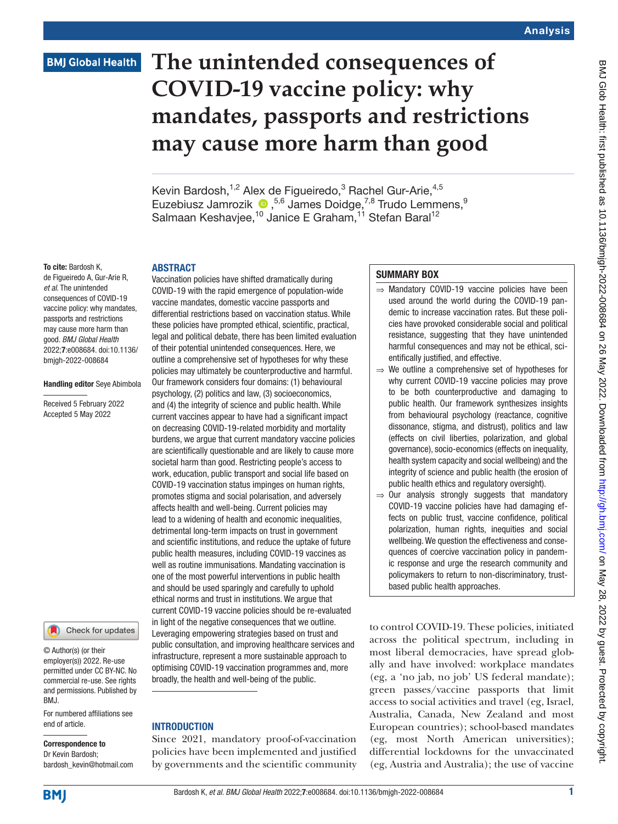## **BMJ Global Health**

# **The unintended consequences of COVID-19 vaccine policy: why mandates, passports and restrictions may cause more harm than good**

Kevin Bardosh,<sup>1,2</sup> Alex de Figueiredo,<sup>3</sup> Rachel Gur-Arie,<sup>4,5</sup> Euzebiusz Jamrozik <sup>1</sup>,<sup>5,6</sup> James Doidge,<sup>7,8</sup> Trudo Lemmens,<sup>9</sup> Salmaan Keshavjee,<sup>10</sup> Janice E Graham,<sup>11</sup> Stefan Baral<sup>12</sup>

#### To cite: Bardosh K,

de Figueiredo A, Gur-Arie R, *et al*. The unintended consequences of COVID-19 vaccine policy: why mandates, passports and restrictions may cause more harm than good. *BMJ Global Health* 2022;7:e008684. doi:10.1136/ bmjgh-2022-008684

ABSTRACT

#### Handling editor Seye Abimbola

Received 5 February 2022 Accepted 5 May 2022



© Author(s) (or their employer(s)) 2022. Re-use permitted under CC BY-NC. No commercial re-use. See rights and permissions. Published by BMJ.

For numbered affiliations see end of article.

## Correspondence to

Dr Kevin Bardosh; bardosh\_kevin@hotmail.com

Vaccination policies have shifted dramatically during COVID-19 with the rapid emergence of population-wide vaccine mandates, domestic vaccine passports and differential restrictions based on vaccination status. While these policies have prompted ethical, scientific, practical, legal and political debate, there has been limited evaluation of their potential unintended consequences. Here, we outline a comprehensive set of hypotheses for why these policies may ultimately be counterproductive and harmful. Our framework considers four domains: (1) behavioural psychology, (2) politics and law, (3) socioeconomics, and (4) the integrity of science and public health. While current vaccines appear to have had a significant impact on decreasing COVID-19-related morbidity and mortality burdens, we argue that current mandatory vaccine policies are scientifically questionable and are likely to cause more societal harm than good. Restricting people's access to work, education, public transport and social life based on COVID-19 vaccination status impinges on human rights, promotes stigma and social polarisation, and adversely affects health and well-being. Current policies may lead to a widening of health and economic inequalities, detrimental long-term impacts on trust in government and scientific institutions, and reduce the uptake of future public health measures, including COVID-19 vaccines as well as routine immunisations. Mandating vaccination is one of the most powerful interventions in public health and should be used sparingly and carefully to uphold ethical norms and trust in institutions. We argue that current COVID-19 vaccine policies should be re-evaluated in light of the negative consequences that we outline. Leveraging empowering strategies based on trust and public consultation, and improving healthcare services and infrastructure, represent a more sustainable approach to optimising COVID-19 vaccination programmes and, more broadly, the health and well-being of the public.

## **INTRODUCTION**

Since 2021, mandatory proof-of-vaccination policies have been implemented and justified by governments and the scientific community

## SUMMARY BOX

- ⇒ Mandatory COVID-19 vaccine policies have been used around the world during the COVID-19 pandemic to increase vaccination rates. But these policies have provoked considerable social and political resistance, suggesting that they have unintended harmful consequences and may not be ethical, scientifically justified, and effective.
- $\Rightarrow$  We outline a comprehensive set of hypotheses for why current COVID-19 vaccine policies may prove to be both counterproductive and damaging to public health. Our framework synthesizes insights from behavioural psychology (reactance, cognitive dissonance, stigma, and distrust), politics and law (effects on civil liberties, polarization, and global governance), socio-economics (effects on inequality, health system capacity and social wellbeing) and the integrity of science and public health (the erosion of public health ethics and regulatory oversight).
- ⇒ Our analysis strongly suggests that mandatory COVID-19 vaccine policies have had damaging effects on public trust, vaccine confidence, political polarization, human rights, inequities and social wellbeing. We question the effectiveness and consequences of coercive vaccination policy in pandemic response and urge the research community and policymakers to return to non-discriminatory, trustbased public health approaches.

to control COVID-19. These policies, initiated across the political spectrum, including in most liberal democracies, have spread globally and have involved: workplace mandates (eg, a 'no jab, no job' US federal mandate); green passes/vaccine passports that limit access to social activities and travel (eg, Israel, Australia, Canada, New Zealand and most European countries); school-based mandates (eg, most North American universities); differential lockdowns for the unvaccinated (eg, Austria and Australia); the use of vaccine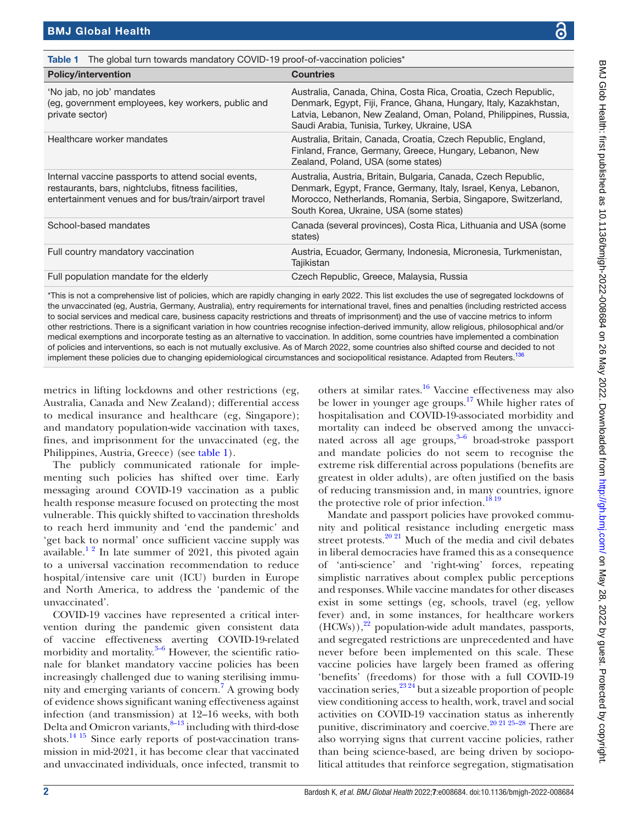| <b>Table 1</b> The global turn towards mandatory COVID-19 proof-of-vaccination policies* |
|------------------------------------------------------------------------------------------|

<span id="page-1-0"></span>

| <b>Policy/intervention</b>                                                                                                                                         | <b>Countries</b>                                                                                                                                                                                                                                      |
|--------------------------------------------------------------------------------------------------------------------------------------------------------------------|-------------------------------------------------------------------------------------------------------------------------------------------------------------------------------------------------------------------------------------------------------|
| 'No jab, no job' mandates<br>(eg, government employees, key workers, public and<br>private sector)                                                                 | Australia, Canada, China, Costa Rica, Croatia, Czech Republic,<br>Denmark, Egypt, Fiji, France, Ghana, Hungary, Italy, Kazakhstan,<br>Latvia, Lebanon, New Zealand, Oman, Poland, Philippines, Russia,<br>Saudi Arabia, Tunisia, Turkey, Ukraine, USA |
| Healthcare worker mandates                                                                                                                                         | Australia, Britain, Canada, Croatia, Czech Republic, England,<br>Finland, France, Germany, Greece, Hungary, Lebanon, New<br>Zealand, Poland, USA (some states)                                                                                        |
| Internal vaccine passports to attend social events,<br>restaurants, bars, nightclubs, fitness facilities,<br>entertainment venues and for bus/train/airport travel | Australia, Austria, Britain, Bulgaria, Canada, Czech Republic,<br>Denmark, Egypt, France, Germany, Italy, Israel, Kenya, Lebanon,<br>Morocco, Netherlands, Romania, Serbia, Singapore, Switzerland,<br>South Korea, Ukraine, USA (some states)        |
| School-based mandates                                                                                                                                              | Canada (several provinces), Costa Rica, Lithuania and USA (some<br>states)                                                                                                                                                                            |
| Full country mandatory vaccination                                                                                                                                 | Austria, Ecuador, Germany, Indonesia, Micronesia, Turkmenistan,<br>Tajikistan                                                                                                                                                                         |
| Full population mandate for the elderly                                                                                                                            | Czech Republic, Greece, Malaysia, Russia                                                                                                                                                                                                              |
|                                                                                                                                                                    |                                                                                                                                                                                                                                                       |

\*This is not a comprehensive list of policies, which are rapidly changing in early 2022. This list excludes the use of segregated lockdowns of the unvaccinated (eg, Austria, Germany, Australia), entry requirements for international travel, fines and penalties (including restricted access to social services and medical care, business capacity restrictions and threats of imprisonment) and the use of vaccine metrics to inform other restrictions. There is a significant variation in how countries recognise infection-derived immunity, allow religious, philosophical and/or medical exemptions and incorporate testing as an alternative to vaccination. In addition, some countries have implemented a combination of policies and interventions, so each is not mutually exclusive. As of March 2022, some countries also shifted course and decided to not implement these policies due to changing epidemiological circumstances and sociopolitical resistance. Adapted from Reuters.<sup>13</sup>

metrics in lifting lockdowns and other restrictions (eg, Australia, Canada and New Zealand); differential access to medical insurance and healthcare (eg, Singapore); and mandatory population-wide vaccination with taxes, fines, and imprisonment for the unvaccinated (eg, the Philippines, Austria, Greece) (see [table](#page-1-0) 1).

The publicly communicated rationale for implementing such policies has shifted over time. Early messaging around COVID-19 vaccination as a public health response measure focused on protecting the most vulnerable. This quickly shifted to vaccination thresholds to reach herd immunity and 'end the pandemic' and 'get back to normal' once sufficient vaccine supply was available.<sup>12</sup> In late summer of 2021, this pivoted again to a universal vaccination recommendation to reduce hospital/intensive care unit (ICU) burden in Europe and North America, to address the 'pandemic of the unvaccinated'.

COVID-19 vaccines have represented a critical intervention during the pandemic given consistent data of vaccine effectiveness averting COVID-19-related morbidity and mortality.<sup>3-6</sup> However, the scientific rationale for blanket mandatory vaccine policies has been increasingly challenged due to waning sterilising immunity and emerging variants of concern.[7](#page-10-2) A growing body of evidence shows significant waning effectiveness against infection (and transmission) at 12–16 weeks, with both Delta and Omicron variants, $8-13$  including with third-dose shots.[14 15](#page-10-4) Since early reports of post-vaccination transmission in mid-2021, it has become clear that vaccinated and unvaccinated individuals, once infected, transmit to

others at similar rates.[16](#page-10-5) Vaccine effectiveness may also be lower in younger age groups.<sup>[17](#page-10-6)</sup> While higher rates of hospitalisation and COVID-19-associated morbidity and mortality can indeed be observed among the unvaccinated across all age groups, $3-6$  broad-stroke passport and mandate policies do not seem to recognise the extreme risk differential across populations (benefits are greatest in older adults), are often justified on the basis of reducing transmission and, in many countries, ignore the protective role of prior infection.<sup>[18 19](#page-10-7)</sup>

Mandate and passport policies have provoked community and political resistance including energetic mass street protests. $20$   $21$  Much of the media and civil debates in liberal democracies have framed this as a consequence of 'anti-science' and 'right-wing' forces, repeating simplistic narratives about complex public perceptions and responses. While vaccine mandates for other diseases exist in some settings (eg, schools, travel (eg, yellow fever) and, in some instances, for healthcare workers  $(HCWs)$ ,<sup>22</sup> population-wide adult mandates, passports, and segregated restrictions are unprecedented and have never before been implemented on this scale. These vaccine policies have largely been framed as offering 'benefits' (freedoms) for those with a full COVID-19 vaccination series,  $2^{3.24}$  but a sizeable proportion of people view conditioning access to health, work, travel and social activities on COVID-19 vaccination status as inherently punitive, discriminatory and coercive.<sup>20 21 25-28</sup> There are also worrying signs that current vaccine policies, rather than being science-based, are being driven by sociopolitical attitudes that reinforce segregation, stigmatisation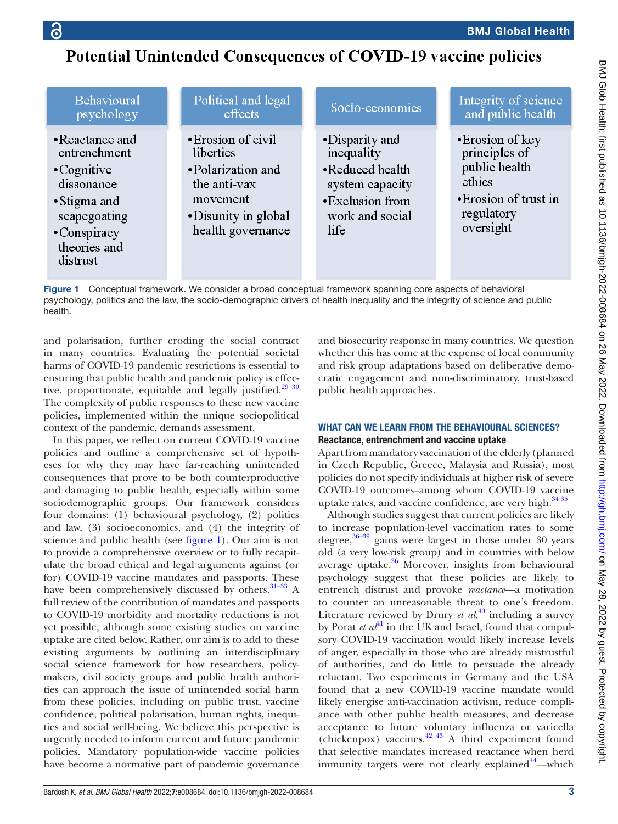## **ic**

## Potential Unintended Consequences of COVID-19 vaccine policies

| <b>Behavioural</b>                                                                                                                            | Political and legal                                                                                                           | Socio-economics                                                                                                  | Integrity of science                                                                                             |
|-----------------------------------------------------------------------------------------------------------------------------------------------|-------------------------------------------------------------------------------------------------------------------------------|------------------------------------------------------------------------------------------------------------------|------------------------------------------------------------------------------------------------------------------|
| psychology                                                                                                                                    | effects                                                                                                                       |                                                                                                                  | and public health                                                                                                |
| • Reactance and<br>entrenchment<br>$\cdot$ Cognitive<br>dissonance<br>• Stigma and<br>scapegoating<br>•Conspiracy<br>theories and<br>distrust | • Erosion of civil<br>liberties<br>•Polarization and<br>the anti-vax<br>movement<br>• Disunity in global<br>health governance | •Disparity and<br>inequality<br>•Reduced health<br>system capacity<br>•Exclusion from<br>work and social<br>life | • Erosion of key<br>principles of<br>public health<br>ethics<br>• Erosion of trust in<br>regulatory<br>oversight |

<span id="page-2-0"></span>Figure 1 Conceptual framework. We consider a broad conceptual framework spanning core aspects of behavioral psychology, politics and the law, the socio-demographic drivers of health inequality and the integrity of science and public health.

and polarisation, further eroding the social contract in many countries. Evaluating the potential societal harms of COVID-19 pandemic restrictions is essential to ensuring that public health and pandemic policy is effective, proportionate, equitable and legally justified.<sup>29</sup> <sup>30</sup> The complexity of public responses to these new vaccine policies, implemented within the unique sociopolitical context of the pandemic, demands assessment.

In this paper, we reflect on current COVID-19 vaccine policies and outline a comprehensive set of hypotheses for why they may have far-reaching unintended consequences that prove to be both counterproductive and damaging to public health, especially within some sociodemographic groups. Our framework considers four domains: (1) behavioural psychology, (2) politics and law, (3) socioeconomics, and (4) the integrity of science and public health (see [figure](#page-2-0) 1). Our aim is not to provide a comprehensive overview or to fully recapitulate the broad ethical and legal arguments against (or for) COVID-19 vaccine mandates and passports. These have been comprehensively discussed by others.<sup>31-33</sup> A full review of the contribution of mandates and passports to COVID-19 morbidity and mortality reductions is not yet possible, although some existing studies on vaccine uptake are cited below. Rather, our aim is to add to these existing arguments by outlining an interdisciplinary social science framework for how researchers, policymakers, civil society groups and public health authorities can approach the issue of unintended social harm from these policies, including on public trust, vaccine confidence, political polarisation, human rights, inequities and social well-being. We believe this perspective is urgently needed to inform current and future pandemic policies. Mandatory population-wide vaccine policies have become a normative part of pandemic governance

and biosecurity response in many countries. We question whether this has come at the expense of local community and risk group adaptations based on deliberative democratic engagement and non-discriminatory, trust-based public health approaches.

## WHAT CAN WE LEARN FROM THE BEHAVIOURAL SCIENCES? Reactance, entrenchment and vaccine uptake

Apart from mandatory vaccination of the elderly (planned in Czech Republic, Greece, Malaysia and Russia), most policies do not specify individuals at higher risk of severe COVID-19 outcomes–among whom COVID-19 vaccine uptake rates, and vaccine confidence, are very high. $3435$ 

Although studies suggest that current policies are likely to increase population-level vaccination rates to some degree, $36-39$  gains were largest in those under 30 years old (a very low-risk group) and in countries with below average uptake.<sup>36</sup> Moreover, insights from behavioural psychology suggest that these policies are likely to entrench distrust and provoke *reactance*—a motivation to counter an unreasonable threat to one's freedom. Literature reviewed by Drury *et al*, [40](#page-11-6) including a survey by Porat *et al*<sup>41</sup> in the UK and Israel, found that compulsory COVID-19 vaccination would likely increase levels of anger, especially in those who are already mistrustful of authorities, and do little to persuade the already reluctant. Two experiments in Germany and the USA found that a new COVID-19 vaccine mandate would likely energise anti-vaccination activism, reduce compliance with other public health measures, and decrease acceptance to future voluntary influenza or varicella (chickenpox) vaccines.<sup>[42 43](#page-11-8)</sup> A third experiment found that selective mandates increased reactance when herd immunity targets were not clearly explained<sup>[44](#page-11-9)</sup>—which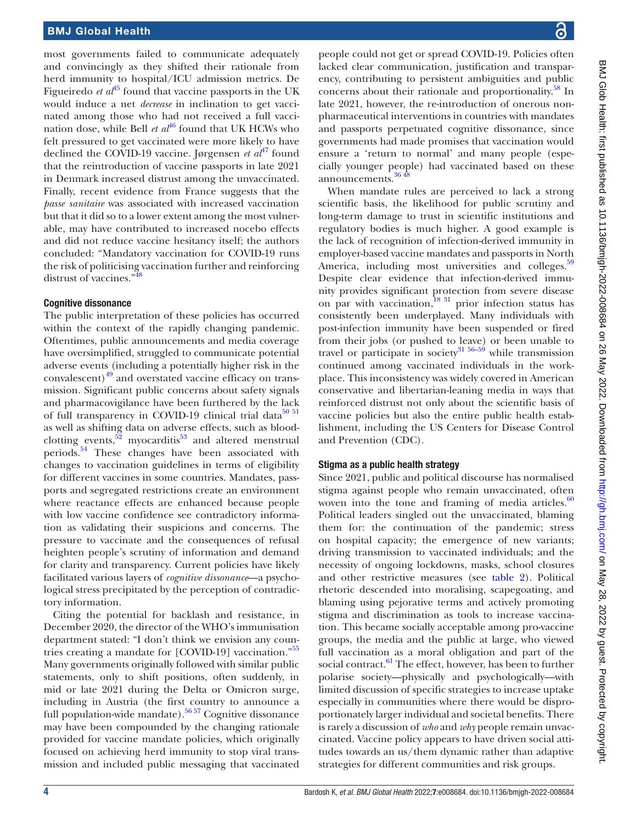most governments failed to communicate adequately and convincingly as they shifted their rationale from herd immunity to hospital/ICU admission metrics. De Figueiredo *et al*<sup>45</sup> found that vaccine passports in the UK would induce a net *decrease* in inclination to get vaccinated among those who had not received a full vaccination dose, while Bell *et al*<sup>[46](#page-11-11)</sup> found that UK HCWs who felt pressured to get vaccinated were more likely to have declined the COVID-19 vaccine. Jørgensen *et al*<sup>47</sup> found that the reintroduction of vaccine passports in late 2021 in Denmark increased distrust among the unvaccinated. Finally, recent evidence from France suggests that the *passe sanitaire* was associated with increased vaccination but that it did so to a lower extent among the most vulnerable, may have contributed to increased nocebo effects and did not reduce vaccine hesitancy itself; the authors concluded: "Mandatory vaccination for COVID-19 runs the risk of politicising vaccination further and reinforcing distrust of vaccines.["48](#page-11-13)

## Cognitive dissonance

The public interpretation of these policies has occurred within the context of the rapidly changing pandemic. Oftentimes, public announcements and media coverage have oversimplified, struggled to communicate potential adverse events (including a potentially higher risk in the convalescent) $49$  and overstated vaccine efficacy on transmission. Significant public concerns about safety signals and pharmacovigilance have been furthered by the lack of full transparency in COVID-19 clinical trial data $50$   $51$ as well as shifting data on adverse effects, such as bloodclotting events,  $52$  myocarditis<sup>53</sup> and altered menstrual periods.[54](#page-11-18) These changes have been associated with changes to vaccination guidelines in terms of eligibility for different vaccines in some countries. Mandates, passports and segregated restrictions create an environment where reactance effects are enhanced because people with low vaccine confidence see contradictory information as validating their suspicions and concerns. The pressure to vaccinate and the consequences of refusal heighten people's scrutiny of information and demand for clarity and transparency. Current policies have likely facilitated various layers of *cognitive dissonance*—a psychological stress precipitated by the perception of contradictory information.

Citing the potential for backlash and resistance, in December 2020, the director of the WHO's immunisation department stated: "I don't think we envision any coun-tries creating a mandate for [COVID-19] vaccination."<sup>[55](#page-11-19)</sup> Many governments originally followed with similar public statements, only to shift positions, often suddenly, in mid or late 2021 during the Delta or Omicron surge, including in Austria (the first country to announce a full population-wide mandate).<sup>56 57</sup> Cognitive dissonance may have been compounded by the changing rationale provided for vaccine mandate policies, which originally focused on achieving herd immunity to stop viral transmission and included public messaging that vaccinated people could not get or spread COVID-19. Policies often lacked clear communication, justification and transparency, contributing to persistent ambiguities and public concerns about their rationale and proportionality.<sup>[58](#page-11-21)</sup> In late 2021, however, the re-introduction of onerous nonpharmaceutical interventions in countries with mandates and passports perpetuated cognitive dissonance, since governments had made promises that vaccination would ensure a 'return to normal' and many people (especially younger people) had vaccinated based on these announcements.<sup>[36 48](#page-11-5)</sup>

When mandate rules are perceived to lack a strong scientific basis, the likelihood for public scrutiny and long-term damage to trust in scientific institutions and regulatory bodies is much higher. A good example is the lack of recognition of infection-derived immunity in employer-based vaccine mandates and passports in North America, including most universities and colleges.<sup>[59](#page-11-22)</sup> Despite clear evidence that infection-derived immunity provides significant protection from severe disease on par with vaccination, $\frac{18}{31}$  prior infection status has consistently been underplayed. Many individuals with post-infection immunity have been suspended or fired from their jobs (or pushed to leave) or been unable to travel or participate in society<sup>31</sup>  $56-59$  while transmission continued among vaccinated individuals in the workplace. This inconsistency was widely covered in American conservative and libertarian-leaning media in ways that reinforced distrust not only about the scientific basis of vaccine policies but also the entire public health establishment, including the US Centers for Disease Control and Prevention (CDC).

## Stigma as a public health strategy

Since 2021, public and political discourse has normalised stigma against people who remain unvaccinated, often woven into the tone and framing of media articles. $60$ Political leaders singled out the unvaccinated, blaming them for: the continuation of the pandemic; stress on hospital capacity; the emergence of new variants; driving transmission to vaccinated individuals; and the necessity of ongoing lockdowns, masks, school closures and other restrictive measures (see [table](#page-4-0) 2). Political rhetoric descended into moralising, scapegoating, and blaming using pejorative terms and actively promoting stigma and discrimination as tools to increase vaccination. This became socially acceptable among pro-vaccine groups, the media and the public at large, who viewed full vaccination as a moral obligation and part of the social contract.<sup>[61](#page-11-24)</sup> The effect, however, has been to further polarise society—physically and psychologically—with limited discussion of specific strategies to increase uptake especially in communities where there would be disproportionately larger individual and societal benefits. There is rarely a discussion of *who* and *why* people remain unvaccinated. Vaccine policy appears to have driven social attitudes towards an us/them dynamic rather than adaptive strategies for different communities and risk groups.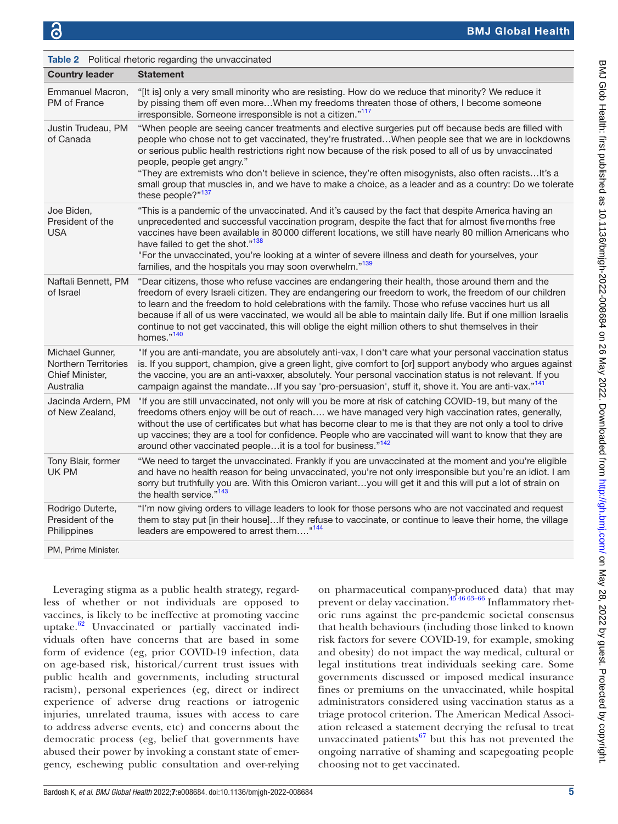<span id="page-4-0"></span>

| <b>Table 2</b> Political rhetoric regarding the unvaccinated                   |                                                                                                                                                                                                                                                                                                                                                                                                                                                                                                                                                                                               |  |
|--------------------------------------------------------------------------------|-----------------------------------------------------------------------------------------------------------------------------------------------------------------------------------------------------------------------------------------------------------------------------------------------------------------------------------------------------------------------------------------------------------------------------------------------------------------------------------------------------------------------------------------------------------------------------------------------|--|
| <b>Country leader</b>                                                          | <b>Statement</b>                                                                                                                                                                                                                                                                                                                                                                                                                                                                                                                                                                              |  |
| Emmanuel Macron,<br>PM of France                                               | "[It is] only a very small minority who are resisting. How do we reduce that minority? We reduce it<br>by pissing them off even moreWhen my freedoms threaten those of others, I become someone<br>irresponsible. Someone irresponsible is not a citizen."117                                                                                                                                                                                                                                                                                                                                 |  |
| Justin Trudeau, PM<br>of Canada                                                | "When people are seeing cancer treatments and elective surgeries put off because beds are filled with<br>people who chose not to get vaccinated, they're frustratedWhen people see that we are in lockdowns<br>or serious public health restrictions right now because of the risk posed to all of us by unvaccinated<br>people, people get angry."<br>"They are extremists who don't believe in science, they're often misogynists, also often racistsIt's a<br>small group that muscles in, and we have to make a choice, as a leader and as a country: Do we tolerate<br>these people?"137 |  |
| Joe Biden,<br>President of the<br><b>USA</b>                                   | "This is a pandemic of the unvaccinated. And it's caused by the fact that despite America having an<br>unprecedented and successful vaccination program, despite the fact that for almost five months free<br>vaccines have been available in 80 000 different locations, we still have nearly 80 million Americans who<br>have failed to get the shot." <sup>138</sup><br>"For the unvaccinated, you're looking at a winter of severe illness and death for yourselves, your<br>families, and the hospitals you may soon overwhelm." <sup>139</sup>                                          |  |
| Naftali Bennett, PM<br>of Israel                                               | "Dear citizens, those who refuse vaccines are endangering their health, those around them and the<br>freedom of every Israeli citizen. They are endangering our freedom to work, the freedom of our children<br>to learn and the freedom to hold celebrations with the family. Those who refuse vaccines hurt us all<br>because if all of us were vaccinated, we would all be able to maintain daily life. But if one million Israelis<br>continue to not get vaccinated, this will oblige the eight million others to shut themselves in their<br>homes."140                                 |  |
| Michael Gunner,<br><b>Northern Territories</b><br>Chief Minister,<br>Australia | "If you are anti-mandate, you are absolutely anti-vax, I don't care what your personal vaccination status<br>is. If you support, champion, give a green light, give comfort to [or] support anybody who argues against<br>the vaccine, you are an anti-vaxxer, absolutely. Your personal vaccination status is not relevant. If you<br>campaign against the mandateIf you say 'pro-persuasion', stuff it, shove it. You are anti-vax." <sup>141</sup>                                                                                                                                         |  |
| Jacinda Ardern, PM<br>of New Zealand,                                          | "If you are still unvaccinated, not only will you be more at risk of catching COVID-19, but many of the<br>freedoms others enjoy will be out of reach we have managed very high vaccination rates, generally,<br>without the use of certificates but what has become clear to me is that they are not only a tool to drive<br>up vaccines; they are a tool for confidence. People who are vaccinated will want to know that they are<br>around other vaccinated peopleit is a tool for business." <sup>142</sup>                                                                              |  |
| Tony Blair, former<br>UK PM                                                    | "We need to target the unvaccinated. Frankly if you are unvaccinated at the moment and you're eligible<br>and have no health reason for being unvaccinated, you're not only irresponsible but you're an idiot. I am<br>sorry but truthfully you are. With this Omicron variantyou will get it and this will put a lot of strain on<br>the health service." <sup>143</sup>                                                                                                                                                                                                                     |  |
| Rodrigo Duterte,<br>President of the<br>Philippines                            | "I'm now giving orders to village leaders to look for those persons who are not vaccinated and request<br>them to stay put [in their house]If they refuse to vaccinate, or continue to leave their home, the village<br>leaders are empowered to arrest them" <sup>144</sup>                                                                                                                                                                                                                                                                                                                  |  |
| PM, Prime Minister.                                                            |                                                                                                                                                                                                                                                                                                                                                                                                                                                                                                                                                                                               |  |

Leveraging stigma as a public health strategy, regardless of whether or not individuals are opposed to vaccines, is likely to be ineffective at promoting vaccine uptake. $62$  Unvaccinated or partially vaccinated individuals often have concerns that are based in some form of evidence (eg, prior COVID-19 infection, data on age-based risk, historical/current trust issues with public health and governments, including structural racism), personal experiences (eg, direct or indirect experience of adverse drug reactions or iatrogenic injuries, unrelated trauma, issues with access to care to address adverse events, etc) and concerns about the democratic process (eg, belief that governments have abused their power by invoking a constant state of emergency, eschewing public consultation and over-relying

on pharmaceutical company-produced data) that may prevent or delay vaccination. $45\frac{4663-66}{1000}$  Inflammatory rhetoric runs against the pre-pandemic societal consensus that health behaviours (including those linked to known risk factors for severe COVID-19, for example, smoking and obesity) do not impact the way medical, cultural or legal institutions treat individuals seeking care. Some governments discussed or imposed medical insurance fines or premiums on the unvaccinated, while hospital administrators considered using vaccination status as a triage protocol criterion. The American Medical Association released a statement decrying the refusal to treat unvaccinated patients $^{67}$  but this has not prevented the ongoing narrative of shaming and scapegoating people choosing not to get vaccinated.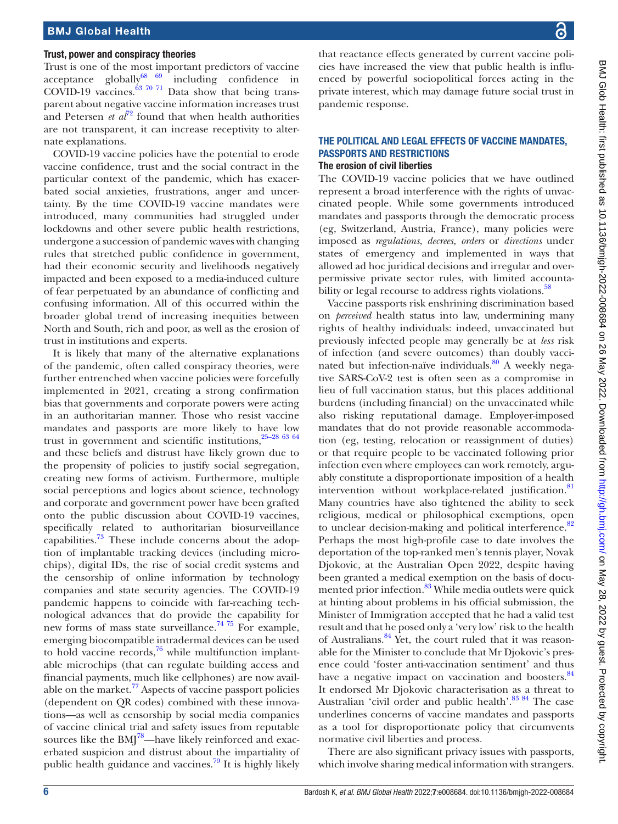#### Trust, power and conspiracy theories

Trust is one of the most important predictors of vaccine acceptance globally $\frac{68}{69}$  including confidence in COVID-19 vaccines. $^{63}$  70 <sup>71</sup> Data show that being transparent about negative vaccine information increases trust and Petersen  $e^{t} a l^{72}$  $e^{t} a l^{72}$  $e^{t} a l^{72}$  found that when health authorities are not transparent, it can increase receptivity to alternate explanations.

COVID-19 vaccine policies have the potential to erode vaccine confidence, trust and the social contract in the particular context of the pandemic, which has exacerbated social anxieties, frustrations, anger and uncertainty. By the time COVID-19 vaccine mandates were introduced, many communities had struggled under lockdowns and other severe public health restrictions, undergone a succession of pandemic waves with changing rules that stretched public confidence in government, had their economic security and livelihoods negatively impacted and been exposed to a media-induced culture of fear perpetuated by an abundance of conflicting and confusing information. All of this occurred within the broader global trend of increasing inequities between North and South, rich and poor, as well as the erosion of trust in institutions and experts.

It is likely that many of the alternative explanations of the pandemic, often called conspiracy theories, were further entrenched when vaccine policies were forcefully implemented in 2021, creating a strong confirmation bias that governments and corporate powers were acting in an authoritarian manner. Those who resist vaccine mandates and passports are more likely to have low trust in government and scientific institutions,  $25-28$  63 64 and these beliefs and distrust have likely grown due to the propensity of policies to justify social segregation, creating new forms of activism. Furthermore, multiple social perceptions and logics about science, technology and corporate and government power have been grafted onto the public discussion about COVID-19 vaccines, specifically related to authoritarian biosurveillance capabilities.<sup>[73](#page-12-1)</sup> These include concerns about the adoption of implantable tracking devices (including microchips), digital IDs, the rise of social credit systems and the censorship of online information by technology companies and state security agencies. The COVID-19 pandemic happens to coincide with far-reaching technological advances that do provide the capability for new forms of mass state surveillance.<sup>[74 75](#page-12-2)</sup> For example, emerging biocompatible intradermal devices can be used to hold vaccine records, $76$  while multifunction implantable microchips (that can regulate building access and financial payments, much like cellphones) are now available on the market.<sup>77</sup> Aspects of vaccine passport policies (dependent on QR codes) combined with these innovations—as well as censorship by social media companies of vaccine clinical trial and safety issues from reputable sources like the  $BMI^{78}$ —have likely reinforced and exacerbated suspicion and distrust about the impartiality of public health guidance and vaccines.<sup>[79](#page-12-6)</sup> It is highly likely

that reactance effects generated by current vaccine policies have increased the view that public health is influenced by powerful sociopolitical forces acting in the private interest, which may damage future social trust in pandemic response.

## THE POLITICAL AND LEGAL EFFECTS OF VACCINE MANDATES, PASSPORTS AND RESTRICTIONS The erosion of civil liberties

The COVID-19 vaccine policies that we have outlined represent a broad interference with the rights of unvaccinated people. While some governments introduced mandates and passports through the democratic process (eg, Switzerland, Austria, France), many policies were imposed as *regulations*, *decrees, orders* or *directions* under states of emergency and implemented in ways that allowed ad hoc juridical decisions and irregular and overpermissive private sector rules, with limited accounta-bility or legal recourse to address rights violations.<sup>[58](#page-11-21)</sup>

Vaccine passports risk enshrining discrimination based on *perceived* health status into law, undermining many rights of healthy individuals: indeed, unvaccinated but previously infected people may generally be at *less* risk of infection (and severe outcomes) than doubly vaccinated but infection-naïve individuals.<sup>80</sup> A weekly negative SARS-CoV-2 test is often seen as a compromise in lieu of full vaccination status, but this places additional burdens (including financial) on the unvaccinated while also risking reputational damage. Employer-imposed mandates that do not provide reasonable accommodation (eg, testing, relocation or reassignment of duties) or that require people to be vaccinated following prior infection even where employees can work remotely, arguably constitute a disproportionate imposition of a health intervention without workplace-related justification.<sup>[81](#page-12-8)</sup> Many countries have also tightened the ability to seek religious, medical or philosophical exemptions, open to unclear decision-making and political interference.<sup>[82](#page-12-9)</sup> Perhaps the most high-profile case to date involves the deportation of the top-ranked men's tennis player, Novak Djokovic, at the Australian Open 2022, despite having been granted a medical exemption on the basis of docu-mented prior infection.<sup>[83](#page-12-10)</sup> While media outlets were quick at hinting about problems in his official submission, the Minister of Immigration accepted that he had a valid test result and that he posed only a 'very low' risk to the health of Australians.[84](#page-12-11) Yet, the court ruled that it was reasonable for the Minister to conclude that Mr Djokovic's presence could 'foster anti-vaccination sentiment' and thus have a negative impact on vaccination and boosters.<sup>[84](#page-12-11)</sup> It endorsed Mr Djokovic characterisation as a threat to Australian 'civil order and public health'.<sup>83 84</sup> The case underlines concerns of vaccine mandates and passports as a tool for disproportionate policy that circumvents normative civil liberties and process.

There are also significant privacy issues with passports, which involve sharing medical information with strangers.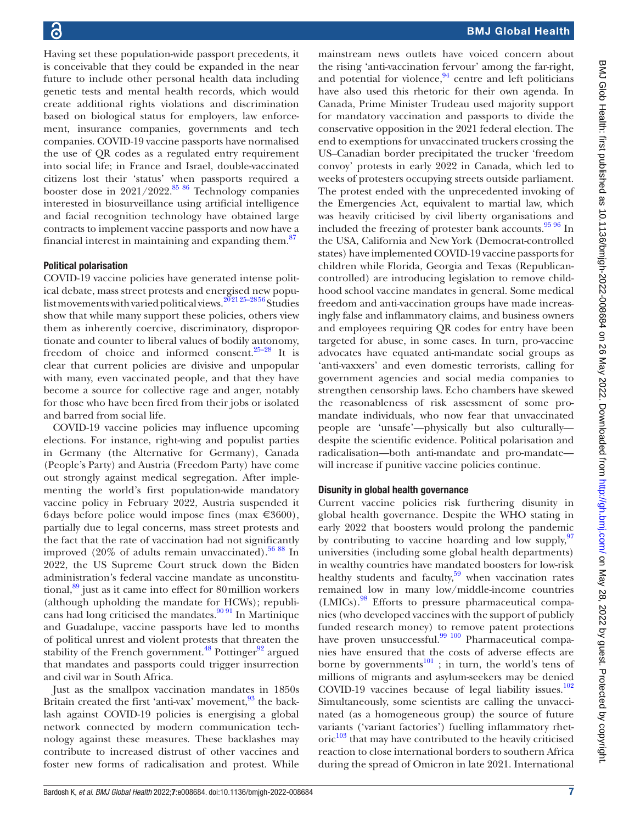Having set these population-wide passport precedents, it is conceivable that they could be expanded in the near future to include other personal health data including genetic tests and mental health records, which would create additional rights violations and discrimination based on biological status for employers, law enforcement, insurance companies, governments and tech companies. COVID-19 vaccine passports have normalised the use of QR codes as a regulated entry requirement into social life; in France and Israel, double-vaccinated citizens lost their 'status' when passports required a booster dose in  $2021/2022$ .<sup>85 86</sup> Technology companies interested in biosurveillance using artificial intelligence and facial recognition technology have obtained large contracts to implement vaccine passports and now have a financial interest in maintaining and expanding them. $87$ 

## Political polarisation

COVID-19 vaccine policies have generated intense political debate, mass street protests and energised new populist movements with varied political views.<sup>202125-2856</sup> Studies show that while many support these policies, others view them as inherently coercive, discriminatory, disproportionate and counter to liberal values of bodily autonomy, freedom of choice and informed consent.[25–28](#page-11-30) It is clear that current policies are divisive and unpopular with many, even vaccinated people, and that they have become a source for collective rage and anger, notably for those who have been fired from their jobs or isolated and barred from social life.

COVID-19 vaccine policies may influence upcoming elections. For instance, right-wing and populist parties in Germany (the Alternative for Germany), Canada (People's Party) and Austria (Freedom Party) have come out strongly against medical segregation. After implementing the world's first population-wide mandatory vaccine policy in February 2022, Austria suspended it 6 days before police would impose fines (max  $\in 3600$ ), partially due to legal concerns, mass street protests and the fact that the rate of vaccination had not significantly improved  $(20\%$  of adults remain unvaccinated).<sup>56 88</sup> In 2022, the US Supreme Court struck down the Biden administration's federal vaccine mandate as unconstitutional, $89$  just as it came into effect for 80 million workers (although upholding the mandate for HCWs); republicans had long criticised the mandates. $90\frac{9}{1}$  In Martinique and Guadalupe, vaccine passports have led to months of political unrest and violent protests that threaten the stability of the French government.<sup>48</sup> Pottinger<sup>92</sup> argued that mandates and passports could trigger insurrection and civil war in South Africa.

Just as the smallpox vaccination mandates in 1850s Britain created the first 'anti-vax' movement,<sup>93</sup> the backlash against COVID-19 policies is energising a global network connected by modern communication technology against these measures. These backlashes may contribute to increased distrust of other vaccines and foster new forms of radicalisation and protest. While

mainstream news outlets have voiced concern about the rising 'anti-vaccination fervour' among the far-right, and potential for violence, $94$  centre and left politicians have also used this rhetoric for their own agenda. In Canada, Prime Minister Trudeau used majority support for mandatory vaccination and passports to divide the conservative opposition in the 2021 federal election. The end to exemptions for unvaccinated truckers crossing the US–Canadian border precipitated the trucker 'freedom convoy' protests in early 2022 in Canada, which led to weeks of protesters occupying streets outside parliament. The protest ended with the unprecedented invoking of the Emergencies Act, equivalent to martial law, which was heavily criticised by civil liberty organisations and included the freezing of protester bank accounts. $\frac{95\,96}{9}$  In the USA, California and New York (Democrat-controlled states) have implemented COVID-19 vaccine passports for children while Florida, Georgia and Texas (Republicancontrolled) are introducing legislation to remove childhood school vaccine mandates in general. Some medical freedom and anti-vaccination groups have made increasingly false and inflammatory claims, and business owners and employees requiring QR codes for entry have been targeted for abuse, in some cases. In turn, pro-vaccine advocates have equated anti-mandate social groups as 'anti-vaxxers' and even domestic terrorists, calling for government agencies and social media companies to strengthen censorship laws. Echo chambers have skewed the reasonableness of risk assessment of some promandate individuals, who now fear that unvaccinated people are 'unsafe'—physically but also culturally despite the scientific evidence. Political polarisation and radicalisation—both anti-mandate and pro-mandate will increase if punitive vaccine policies continue.

## Disunity in global health governance

Current vaccine policies risk furthering disunity in global health governance. Despite the WHO stating in early 2022 that boosters would prolong the pandemic by contributing to vaccine hoarding and low supply,  $97$ universities (including some global health departments) in wealthy countries have mandated boosters for low-risk healthy students and faculty, $59$  when vaccination rates remained low in many low/middle-income countries (LMICs)[.98](#page-12-21) Efforts to pressure pharmaceutical companies (who developed vaccines with the support of publicly funded research money) to remove patent protections have proven unsuccessful.<sup>[99 100](#page-12-22)</sup> Pharmaceutical companies have ensured that the costs of adverse effects are borne by governments $101$ ; in turn, the world's tens of millions of migrants and asylum-seekers may be denied COVID-19 vaccines because of legal liability issues. $102$ Simultaneously, some scientists are calling the unvaccinated (as a homogeneous group) the source of future variants ('variant factories') fuelling inflammatory rhet- $\text{oric}^{103}$  $\text{oric}^{103}$  $\text{oric}^{103}$  that may have contributed to the heavily criticised reaction to close international borders to southern Africa during the spread of Omicron in late 2021. International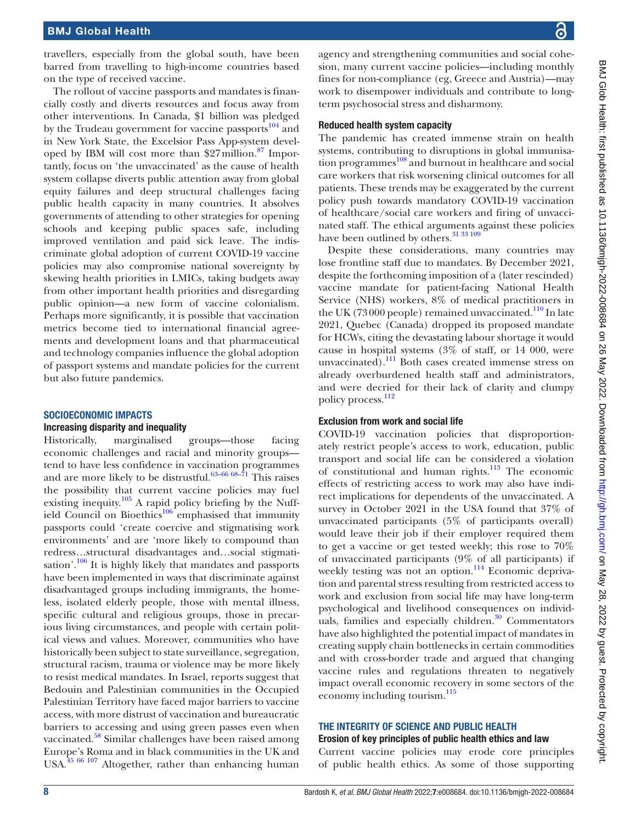travellers, especially from the global south, have been barred from travelling to high-income countries based on the type of received vaccine.

The rollout of vaccine passports and mandates is financially costly and diverts resources and focus away from other interventions. In Canada, \$1 billion was pledged by the Trudeau government for vaccine passports<sup>104</sup> and in New York State, the Excelsior Pass App-system developed by IBM will cost more than  $27$  million.<sup>87</sup> Importantly, focus on 'the unvaccinated' as the cause of health system collapse diverts public attention away from global equity failures and deep structural challenges facing public health capacity in many countries. It absolves governments of attending to other strategies for opening schools and keeping public spaces safe, including improved ventilation and paid sick leave. The indiscriminate global adoption of current COVID-19 vaccine policies may also compromise national sovereignty by skewing health priorities in LMICs, taking budgets away from other important health priorities and disregarding public opinion—a new form of vaccine colonialism. Perhaps more significantly, it is possible that vaccination metrics become tied to international financial agreements and development loans and that pharmaceutical and technology companies influence the global adoption of passport systems and mandate policies for the current but also future pandemics.

## SOCIOECONOMIC IMPACTS

## Increasing disparity and inequality

Historically, marginalised groups—those facing economic challenges and racial and minority groups tend to have less confidence in vaccination programmes and are more likely to be distrustful.<sup>63-66 68-71</sup> This raises the possibility that current vaccine policies may fuel existing inequity.<sup>[105](#page-12-27)</sup> A rapid policy briefing by the Nuffield Council on Bioethics<sup>106</sup> emphasised that immunity passports could 'create coercive and stigmatising work environments' and are 'more likely to compound than redress…structural disadvantages and…social stigmati-sation'.<sup>[106](#page-12-28)</sup> It is highly likely that mandates and passports have been implemented in ways that discriminate against disadvantaged groups including immigrants, the homeless, isolated elderly people, those with mental illness, specific cultural and religious groups, those in precarious living circumstances, and people with certain political views and values. Moreover, communities who have historically been subject to state surveillance, segregation, structural racism, trauma or violence may be more likely to resist medical mandates. In Israel, reports suggest that Bedouin and Palestinian communities in the Occupied Palestinian Territory have faced major barriers to vaccine access, with more distrust of vaccination and bureaucratic barriers to accessing and using green passes even when vaccinated.<sup>[58](#page-11-21)</sup> Similar challenges have been raised among Europe's Roma and in black communities in the UK and USA[.45 66 107](#page-11-10) Altogether, rather than enhancing human

agency and strengthening communities and social cohesion, many current vaccine policies—including monthly fines for non-compliance (eg, Greece and Austria)—may work to disempower individuals and contribute to longterm psychosocial stress and disharmony.

### Reduced health system capacity

The pandemic has created immense strain on health systems, contributing to disruptions in global immunisa-tion programmes<sup>[108](#page-12-29)</sup> and burnout in healthcare and social care workers that risk worsening clinical outcomes for all patients. These trends may be exaggerated by the current policy push towards mandatory COVID-19 vaccination of healthcare/social care workers and firing of unvaccinated staff. The ethical arguments against these policies have been outlined by others.<sup>31</sup> 33 109

Despite these considerations, many countries may lose frontline staff due to mandates. By December 2021, despite the forthcoming imposition of a (later rescinded) vaccine mandate for patient-facing National Health Service (NHS) workers, 8% of medical practitioners in the UK (73000 people) remained unvaccinated. $110$  In late 2021, Quebec (Canada) dropped its proposed mandate for HCWs, citing the devastating labour shortage it would cause in hospital systems (3% of staff, or 14 000, were unvaccinated).<sup>111</sup> Both cases created immense stress on already overburdened health staff and administrators, and were decried for their lack of clarity and clumpy policy process.<sup>112</sup>

## Exclusion from work and social life

COVID-19 vaccination policies that disproportionately restrict people's access to work, education, public transport and social life can be considered a violation of constitutional and human rights.<sup>113</sup> The economic effects of restricting access to work may also have indirect implications for dependents of the unvaccinated. A survey in October 2021 in the USA found that 37% of unvaccinated participants (5% of participants overall) would leave their job if their employer required them to get a vaccine or get tested weekly; this rose to 70% of unvaccinated participants (9% of all participants) if weekly testing was not an option.<sup>114</sup> Economic deprivation and parental stress resulting from restricted access to work and exclusion from social life may have long-term psychological and livelihood consequences on individuals, families and especially children.<sup>30</sup> Commentators have also highlighted the potential impact of mandates in creating supply chain bottlenecks in certain commodities and with cross-border trade and argued that changing vaccine rules and regulations threaten to negatively impact overall economic recovery in some sectors of the economy including tourism.<sup>[115](#page-12-35)</sup>

## THE INTEGRITY OF SCIENCE AND PUBLIC HEALTH

### Erosion of key principles of public health ethics and law

Current vaccine policies may erode core principles of public health ethics. As some of those supporting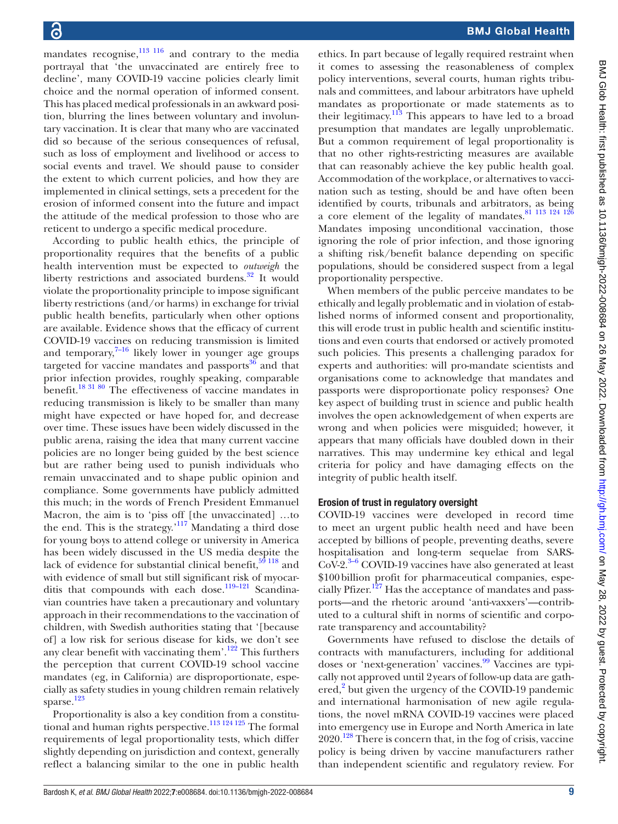mandates recognise, $\frac{113 \times 116}{116}$  and contrary to the media portrayal that 'the unvaccinated are entirely free to decline', many COVID-19 vaccine policies clearly limit choice and the normal operation of informed consent. This has placed medical professionals in an awkward position, blurring the lines between voluntary and involuntary vaccination. It is clear that many who are vaccinated did so because of the serious consequences of refusal, such as loss of employment and livelihood or access to social events and travel. We should pause to consider the extent to which current policies, and how they are implemented in clinical settings, sets a precedent for the erosion of informed consent into the future and impact the attitude of the medical profession to those who are reticent to undergo a specific medical procedure.

According to public health ethics, the principle of proportionality requires that the benefits of a public health intervention must be expected to *outweigh* the liberty restrictions and associated burdens. $32$  It would violate the proportionality principle to impose significant liberty restrictions (and/or harms) in exchange for trivial public health benefits, particularly when other options are available. Evidence shows that the efficacy of current COVID-19 vaccines on reducing transmission is limited and temporary, $7-16$  likely lower in younger age groups targeted for vaccine mandates and passports $36$  and that prior infection provides, roughly speaking, comparable benefit.[18 31 80](#page-10-7) The effectiveness of vaccine mandates in reducing transmission is likely to be smaller than many might have expected or have hoped for, and decrease over time. These issues have been widely discussed in the public arena, raising the idea that many current vaccine policies are no longer being guided by the best science but are rather being used to punish individuals who remain unvaccinated and to shape public opinion and compliance. Some governments have publicly admitted this much; in the words of French President Emmanuel Macron, the aim is to 'piss off [the unvaccinated] …to the end. This is the strategy.['117](#page-12-0) Mandating a third dose for young boys to attend college or university in America has been widely discussed in the US media despite the lack of evidence for substantial clinical benefit, $59118$  and with evidence of small but still significant risk of myocarditis that compounds with each dose.<sup>119-121</sup> Scandinavian countries have taken a precautionary and voluntary approach in their recommendations to the vaccination of children, with Swedish authorities stating that '[because of] a low risk for serious disease for kids, we don't see any clear benefit with vaccinating them'. $122$  This furthers the perception that current COVID-19 school vaccine mandates (eg, in California) are disproportionate, especially as safety studies in young children remain relatively sparse. $^{123}$ 

Proportionality is also a key condition from a constitutional and human rights perspective.<sup>113 124 125</sup> The formal requirements of legal proportionality tests, which differ slightly depending on jurisdiction and context, generally reflect a balancing similar to the one in public health

ethics. In part because of legally required restraint when it comes to assessing the reasonableness of complex policy interventions, several courts, human rights tribunals and committees, and labour arbitrators have upheld mandates as proportionate or made statements as to their legitimacy. $113$  This appears to have led to a broad presumption that mandates are legally unproblematic. But a common requirement of legal proportionality is that no other rights-restricting measures are available that can reasonably achieve the key public health goal. Accommodation of the workplace, or alternatives to vaccination such as testing, should be and have often been identified by courts, tribunals and arbitrators, as being a core element of the legality of mandates. $81$   $113$   $124$   $126$ Mandates imposing unconditional vaccination, those ignoring the role of prior infection, and those ignoring a shifting risk/benefit balance depending on specific populations, should be considered suspect from a legal proportionality perspective.

When members of the public perceive mandates to be ethically and legally problematic and in violation of established norms of informed consent and proportionality, this will erode trust in public health and scientific institutions and even courts that endorsed or actively promoted such policies. This presents a challenging paradox for experts and authorities: will pro-mandate scientists and organisations come to acknowledge that mandates and passports were disproportionate policy responses? One key aspect of building trust in science and public health involves the open acknowledgement of when experts are wrong and when policies were misguided; however, it appears that many officials have doubled down in their narratives. This may undermine key ethical and legal criteria for policy and have damaging effects on the integrity of public health itself.

## Erosion of trust in regulatory oversight

COVID-19 vaccines were developed in record time to meet an urgent public health need and have been accepted by billions of people, preventing deaths, severe hospitalisation and long-term sequelae from SARS- $CoV-2.<sup>3-6</sup> COVID-19$  vaccines have also generated at least \$100billion profit for pharmaceutical companies, especially Pfizer.<sup>127</sup> Has the acceptance of mandates and passports—and the rhetoric around 'anti-vaxxers'—contributed to a cultural shift in norms of scientific and corporate transparency and accountability?

Governments have refused to disclose the details of contracts with manufacturers, including for additional doses or 'next-generation' vaccines.<sup>[99](#page-12-22)</sup> Vaccines are typically not approved until 2years of follow-up data are gath-ered,<sup>[2](#page-10-9)</sup> but given the urgency of the COVID-19 pandemic and international harmonisation of new agile regulations, the novel mRNA COVID-19 vaccines were placed into emergency use in Europe and North America in late  $2020$ .<sup>128</sup> There is concern that, in the fog of crisis, vaccine policy is being driven by vaccine manufacturers rather than independent scientific and regulatory review. For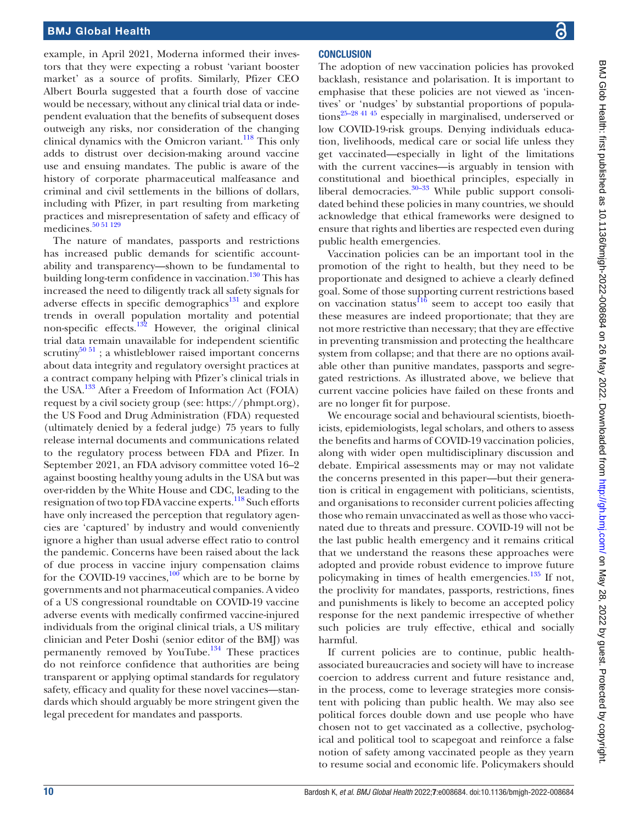example, in April 2021, Moderna informed their investors that they were expecting a robust 'variant booster market' as a source of profits. Similarly, Pfizer CEO Albert Bourla suggested that a fourth dose of vaccine would be necessary, without any clinical trial data or independent evaluation that the benefits of subsequent doses outweigh any risks, nor consideration of the changing clinical dynamics with the Omicron variant. $^{118}$  This only adds to distrust over decision-making around vaccine use and ensuing mandates. The public is aware of the history of corporate pharmaceutical malfeasance and criminal and civil settlements in the billions of dollars, including with Pfizer, in part resulting from marketing practices and misrepresentation of safety and efficacy of medicines.<sup>[50 51 129](#page-11-15)</sup>

The nature of mandates, passports and restrictions has increased public demands for scientific accountability and transparency—shown to be fundamental to building long-term confidence in vaccination. $130$  This has increased the need to diligently track all safety signals for adverse effects in specific demographics $131$  and explore trends in overall population mortality and potential non-specific effects.[132](#page-13-14) However, the original clinical trial data remain unavailable for independent scientific scrutiny<sup>[50 51](#page-11-15)</sup>; a whistleblower raised important concerns about data integrity and regulatory oversight practices at a contract company helping with Pfizer's clinical trials in the USA.[133](#page-13-15) After a Freedom of Information Act (FOIA) request by a civil society group (see: [https://phmpt.org\)](https://phmpt.org), the US Food and Drug Administration (FDA) requested (ultimately denied by a federal judge) 75 years to fully release internal documents and communications related to the regulatory process between FDA and Pfizer. In September 2021, an FDA advisory committee voted 16–2 against boosting healthy young adults in the USA but was over-ridden by the White House and CDC, leading to the resignation of two top FDA vaccine experts.<sup>118</sup> Such efforts have only increased the perception that regulatory agencies are 'captured' by industry and would conveniently ignore a higher than usual adverse effect ratio to control the pandemic. Concerns have been raised about the lack of due process in vaccine injury compensation claims for the COVID-19 vaccines, $\frac{100}{2}$  $\frac{100}{2}$  $\frac{100}{2}$  which are to be borne by governments and not pharmaceutical companies. A video of a US congressional roundtable on COVID-19 vaccine adverse events with medically confirmed vaccine-injured individuals from the original clinical trials, a US military clinician and Peter Doshi (senior editor of the BMJ) was permanently removed by YouTube. $134$  These practices do not reinforce confidence that authorities are being transparent or applying optimal standards for regulatory safety, efficacy and quality for these novel vaccines—standards which should arguably be more stringent given the legal precedent for mandates and passports.

The adoption of new vaccination policies has provoked backlash, resistance and polarisation. It is important to emphasise that these policies are not viewed as 'incentives' or 'nudges' by substantial proportions of population[s25–28 41 45](#page-11-30) especially in marginalised, underserved or low COVID-19-risk groups. Denying individuals education, livelihoods, medical care or social life unless they get vaccinated—especially in light of the limitations with the current vaccines—is arguably in tension with constitutional and bioethical principles, especially in liberal democracies. $30-33$  While public support consolidated behind these policies in many countries, we should acknowledge that ethical frameworks were designed to ensure that rights and liberties are respected even during public health emergencies.

Vaccination policies can be an important tool in the promotion of the right to health, but they need to be proportionate and designed to achieve a clearly defined goal. Some of those supporting current restrictions based on vaccination status $^{116}$  seem to accept too easily that these measures are indeed proportionate; that they are not more restrictive than necessary; that they are effective in preventing transmission and protecting the healthcare system from collapse; and that there are no options available other than punitive mandates, passports and segregated restrictions. As illustrated above, we believe that current vaccine policies have failed on these fronts and are no longer fit for purpose.

We encourage social and behavioural scientists, bioethicists, epidemiologists, legal scholars, and others to assess the benefits and harms of COVID-19 vaccination policies, along with wider open multidisciplinary discussion and debate. Empirical assessments may or may not validate the concerns presented in this paper—but their generation is critical in engagement with politicians, scientists, and organisations to reconsider current policies affecting those who remain unvaccinated as well as those who vaccinated due to threats and pressure. COVID-19 will not be the last public health emergency and it remains critical that we understand the reasons these approaches were adopted and provide robust evidence to improve future policymaking in times of health emergencies. $135$  If not, the proclivity for mandates, passports, restrictions, fines and punishments is likely to become an accepted policy response for the next pandemic irrespective of whether such policies are truly effective, ethical and socially harmful.

If current policies are to continue, public healthassociated bureaucracies and society will have to increase coercion to address current and future resistance and, in the process, come to leverage strategies more consistent with policing than public health. We may also see political forces double down and use people who have chosen not to get vaccinated as a collective, psychological and political tool to scapegoat and reinforce a false notion of safety among vaccinated people as they yearn to resume social and economic life. Policymakers should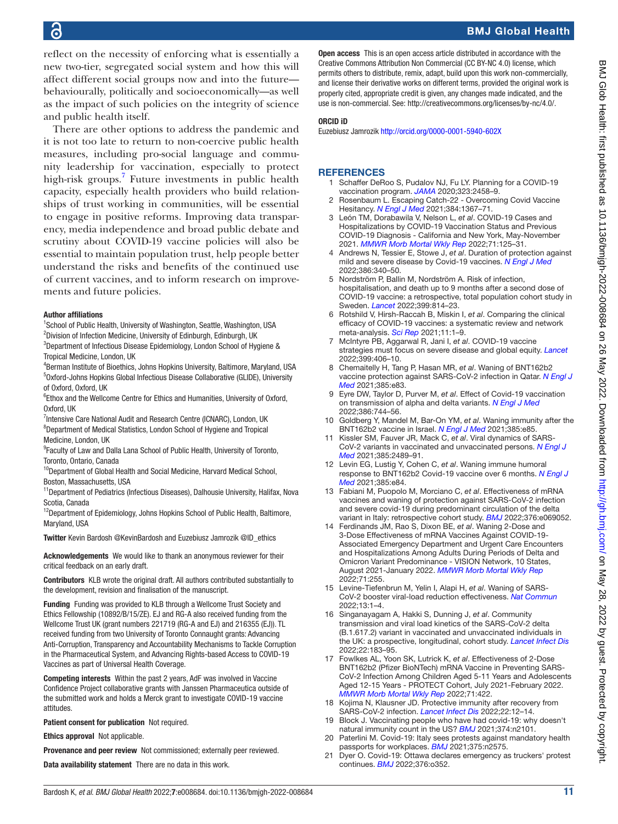## BMJ Global Health

reflect on the necessity of enforcing what is essentially a new two-tier, segregated social system and how this will affect different social groups now and into the future behaviourally, politically and socioeconomically—as well as the impact of such policies on the integrity of science and public health itself.

There are other options to address the pandemic and it is not too late to return to non-coercive public health measures, including pro-social language and community leadership for vaccination, especially to protect high-risk groups[.7](#page-10-2) Future investments in public health capacity, especially health providers who build relationships of trust working in communities, will be essential to engage in positive reforms. Improving data transparency, media independence and broad public debate and scrutiny about COVID-19 vaccine policies will also be essential to maintain population trust, help people better understand the risks and benefits of the continued use of current vaccines, and to inform research on improvements and future policies.

#### Author affiliations

<sup>1</sup>School of Public Health, University of Washington, Seattle, Washington, USA <sup>2</sup>Division of Infection Medicine, University of Edinburgh, Edinburgh, UK

<sup>3</sup>Department of Infectious Disease Epidemiology, London School of Hygiene & Tropical Medicine, London, UK

4 Berman Institute of Bioethics, Johns Hopkins University, Baltimore, Maryland, USA 5 Oxford-Johns Hopkins Global Infectious Disease Collaborative (GLIDE), University of Oxford, Oxford, UK

<sup>6</sup>Ethox and the Wellcome Centre for Ethics and Humanities, University of Oxford, Oxford, UK

<sup>7</sup>Intensive Care National Audit and Research Centre (ICNARC), London, UK <sup>8</sup>Department of Medical Statistics, London School of Hygiene and Tropical Medicine, London, UK

<sup>9</sup> Faculty of Law and Dalla Lana School of Public Health, University of Toronto, Toronto, Ontario, Canada

<sup>10</sup>Department of Global Health and Social Medicine, Harvard Medical School, Boston, Massachusetts, USA

<sup>11</sup> Department of Pediatrics (Infectious Diseases), Dalhousie University, Halifax, Nova Scotia, Canada

<sup>12</sup>Department of Epidemiology, Johns Hopkins School of Public Health, Baltimore, Maryland, USA

Twitter Kevin Bardosh [@KevinBardosh](https://twitter.com/KevinBardosh) and Euzebiusz Jamrozik [@ID\\_ethics](https://twitter.com/ID_ethics)

Acknowledgements We would like to thank an anonymous reviewer for their critical feedback on an early draft.

Contributors KLB wrote the original draft. All authors contributed substantially to the development, revision and finalisation of the manuscript.

Funding Funding was provided to KLB through a Wellcome Trust Society and Ethics Fellowship (10892/B/15/ZE). EJ and RG-A also received funding from the Wellcome Trust UK (grant numbers 221719 (RG-A and EJ) and 216355 (EJ)). TL received funding from two University of Toronto Connaught grants: Advancing Anti-Corruption, Transparency and Accountability Mechanisms to Tackle Corruption in the Pharmaceutical System, and Advancing Rights-based Access to COVID-19 Vaccines as part of Universal Health Coverage.

Competing interests Within the past 2 years, AdF was involved in Vaccine Confidence Project collaborative grants with Janssen Pharmaceutica outside of the submitted work and holds a Merck grant to investigate COVID-19 vaccine attitudes.

Patient consent for publication Not required.

Ethics approval Not applicable.

Provenance and peer review Not commissioned; externally peer reviewed.

Data availability statement There are no data in this work.

**Open access** This is an open access article distributed in accordance with the Creative Commons Attribution Non Commercial (CC BY-NC 4.0) license, which permits others to distribute, remix, adapt, build upon this work non-commercially, and license their derivative works on different terms, provided the original work is properly cited, appropriate credit is given, any changes made indicated, and the use is non-commercial. See:<http://creativecommons.org/licenses/by-nc/4.0/>.

### ORCID iD

Euzebiusz Jamrozik<http://orcid.org/0000-0001-5940-602X>

### <span id="page-10-0"></span>**REFERENCES**

- Schaffer DeRoo S, Pudalov NJ, Fu LY. Planning for a COVID-19 vaccination program. *[JAMA](http://dx.doi.org/10.1001/jama.2020.8711)* 2020;323:2458–9.
- <span id="page-10-9"></span>2 Rosenbaum L. Escaping Catch-22 - Overcoming Covid Vaccine Hesitancy. *[N Engl J Med](http://dx.doi.org/10.1056/NEJMms2101220)* 2021;384:1367–71.
- <span id="page-10-1"></span>3 León TM, Dorabawila V, Nelson L, *et al*. COVID-19 Cases and Hospitalizations by COVID-19 Vaccination Status and Previous COVID-19 Diagnosis - California and New York, May-November 2021. *[MMWR Morb Mortal Wkly Rep](http://dx.doi.org/10.15585/mmwr.mm7104e1)* 2022;71:125–31.
- 4 Andrews N, Tessier E, Stowe J, *et al*. Duration of protection against mild and severe disease by Covid-19 vaccines. *[N Engl J Med](http://dx.doi.org/10.1056/NEJMoa2115481)* 2022;386:340–50.
- 5 Nordström P, Ballin M, Nordström A. Risk of infection, hospitalisation, and death up to 9 months after a second dose of COVID-19 vaccine: a retrospective, total population cohort study in Sweden. *[Lancet](http://dx.doi.org/10.1016/S0140-6736(22)00089-7)* 2022;399:814–23.
- 6 Rotshild V, Hirsh-Raccah B, Miskin I, *et al*. Comparing the clinical efficacy of COVID-19 vaccines: a systematic review and network meta-analysis. *[Sci Rep](http://dx.doi.org/10.1038/s41598-021-02321-z)* 2021;11:1–9.
- <span id="page-10-2"></span>7 McIntyre PB, Aggarwal R, Jani I, *et al*. COVID-19 vaccine strategies must focus on severe disease and global equity. *[Lancet](http://dx.doi.org/10.1016/S0140-6736(21)02835-X)* 2022;399:406–10.
- <span id="page-10-3"></span>8 Chemaitelly H, Tang P, Hasan MR, *et al*. Waning of BNT162b2 vaccine protection against SARS-CoV-2 infection in Qatar. *[N Engl J](http://dx.doi.org/10.1056/NEJMoa2114114)  [Med](http://dx.doi.org/10.1056/NEJMoa2114114)* 2021;385:e83.
- 9 Eyre DW, Taylor D, Purver M, *et al*. Effect of Covid-19 vaccination on transmission of alpha and delta variants. *[N Engl J Med](http://dx.doi.org/10.1056/NEJMoa2116597)* 2022;386:744–56.
- 10 Goldberg Y, Mandel M, Bar-On YM, *et al*. Waning immunity after the BNT162b2 vaccine in Israel. *[N Engl J Med](http://dx.doi.org/10.1056/NEJMoa2114228)* 2021;385:e85.
- 11 Kissler SM, Fauver JR, Mack C, *et al*. Viral dynamics of SARS-CoV-2 variants in vaccinated and unvaccinated persons. *[N Engl J](http://dx.doi.org/10.1056/NEJMc2102507)  [Med](http://dx.doi.org/10.1056/NEJMc2102507)* 2021;385:2489–91.
- 12 Levin EG, Lustig Y, Cohen C, *et al*. Waning immune humoral response to BNT162b2 Covid-19 vaccine over 6 months. *[N Engl J](http://dx.doi.org/10.1056/NEJMoa2114583)  [Med](http://dx.doi.org/10.1056/NEJMoa2114583)* 2021;385:e84.
- 13 Fabiani M, Puopolo M, Morciano C, *et al*. Effectiveness of mRNA vaccines and waning of protection against SARS-CoV-2 infection and severe covid-19 during predominant circulation of the delta variant in Italy: retrospective cohort study. *[BMJ](http://dx.doi.org/10.1136/bmj-2021-069052)* 2022;376:e069052.
- <span id="page-10-4"></span>14 Ferdinands JM, Rao S, Dixon BE, *et al*. Waning 2-Dose and 3-Dose Effectiveness of mRNA Vaccines Against COVID-19- Associated Emergency Department and Urgent Care Encounters and Hospitalizations Among Adults During Periods of Delta and Omicron Variant Predominance - VISION Network, 10 States, August 2021-January 2022. *[MMWR Morb Mortal Wkly Rep](http://dx.doi.org/10.15585/mmwr.mm7107e2)* 2022;71:255.
- 15 Levine-Tiefenbrun M, Yelin I, Alapi H, *et al*. Waning of SARS-CoV-2 booster viral-load reduction effectiveness. *[Nat Commun](http://dx.doi.org/10.1038/s41467-022-28936-y)* 2022;13:1–4.
- <span id="page-10-5"></span>16 Singanayagam A, Hakki S, Dunning J, *et al*. Community transmission and viral load kinetics of the SARS-CoV-2 delta (B.1.617.2) variant in vaccinated and unvaccinated individuals in the UK: a prospective, longitudinal, cohort study. *[Lancet Infect Dis](http://dx.doi.org/10.1016/S1473-3099(21)00648-4)* 2022;22:183–95.
- <span id="page-10-6"></span>17 Fowlkes AL, Yoon SK, Lutrick K, *et al*. Effectiveness of 2-Dose BNT162b2 (Pfizer BioNTech) mRNA Vaccine in Preventing SARS-CoV-2 Infection Among Children Aged 5-11 Years and Adolescents Aged 12-15 Years - PROTECT Cohort, July 2021-February 2022. *[MMWR Morb Mortal Wkly Rep](http://dx.doi.org/10.15585/mmwr.mm7111e1)* 2022;71:422.
- <span id="page-10-7"></span>18 Kojima N, Klausner JD. Protective immunity after recovery from SARS-CoV-2 infection. *[Lancet Infect Dis](http://dx.doi.org/10.1016/S1473-3099(21)00676-9)* 2022;22:12–14.
- 19 Block J. Vaccinating people who have had covid-19: why doesn't natural immunity count in the US? *[BMJ](http://dx.doi.org/10.1136/bmj.n2101)* 2021;374:n2101.
- <span id="page-10-8"></span>20 Paterlini M. Covid-19: Italy sees protests against mandatory health passports for workplaces. *[BMJ](http://dx.doi.org/10.1136/bmj.n2575)* 2021;375:n2575.
- 21 Dyer O. Covid-19: Ottawa declares emergency as truckers' protest continues. *[BMJ](http://dx.doi.org/10.1136/bmj.o352)* 2022;376:o352.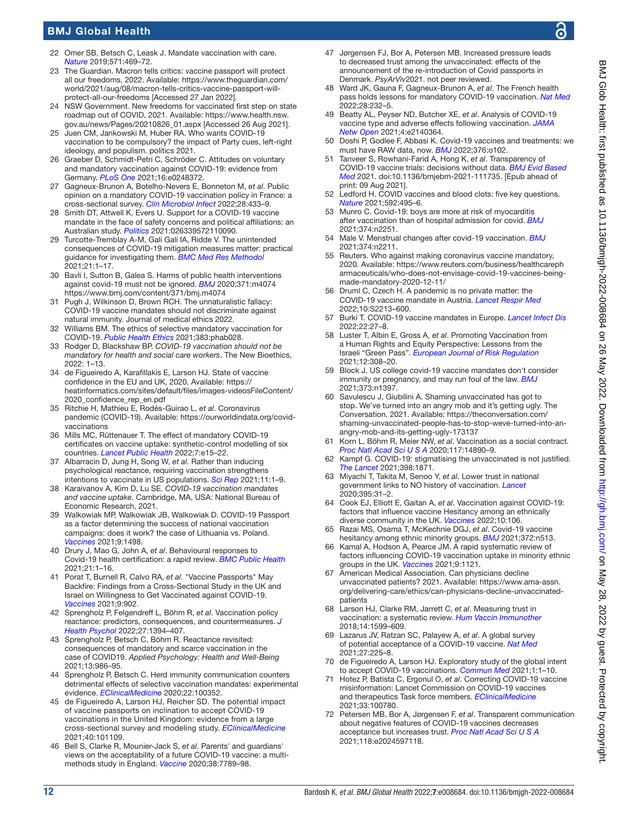## BMJ Global Health

- <span id="page-11-0"></span>22 Omer SB, Betsch C, Leask J. Mandate vaccination with care. *[Nature](http://dx.doi.org/10.1038/d41586-019-02232-0)* 2019;571:469–72.
- <span id="page-11-1"></span>23 The Guardian. Macron tells critics: vaccine passport will protect all our freedoms, 2022. Available: [https://www.theguardian.com/](https://www.theguardian.com/world/2021/aug/08/macron-tells-critics-vaccine-passport-will-protect-all-our-freedoms) [world/2021/aug/08/macron-tells-critics-vaccine-passport-will](https://www.theguardian.com/world/2021/aug/08/macron-tells-critics-vaccine-passport-will-protect-all-our-freedoms)[protect-all-our-freedoms](https://www.theguardian.com/world/2021/aug/08/macron-tells-critics-vaccine-passport-will-protect-all-our-freedoms) [Accessed 27 Jan 2022].
- 24 NSW Government. New freedoms for vaccinated first step on state roadmap out of COVID, 2021. Available: [https://www.health.nsw.](https://www.health.nsw.gov.au/news/Pages/20210826_01.aspx) [gov.au/news/Pages/20210826\\_01.aspx](https://www.health.nsw.gov.au/news/Pages/20210826_01.aspx) [Accessed 26 Aug 2021].
- <span id="page-11-30"></span>25 Juen CM, Jankowski M, Huber RA. Who wants COVID-19 vaccination to be compulsory? the impact of Party cues, left-right ideology, and populism. politics 2021.
- 26 Graeber D, Schmidt-Petri C, Schröder C. Attitudes on voluntary and mandatory vaccination against COVID-19: evidence from Germany. *[PLoS One](http://dx.doi.org/10.1371/journal.pone.0248372)* 2021;16:e0248372.
- 27 Gagneux-Brunon A, Botelho-Nevers E, Bonneton M, *et al*. Public opinion on a mandatory COVID-19 vaccination policy in France: a cross-sectional survey. *[Clin Microbiol Infect](http://dx.doi.org/10.1016/j.cmi.2021.10.016)* 2022;28:433–9.
- 28 Smith DT, Attwell K, Evers U. Support for a COVID-19 vaccine mandate in the face of safety concerns and political affiliations: an Australian study. *[Politics](http://dx.doi.org/10.1177/02633957211009066)* 2021:026339572110090.
- <span id="page-11-2"></span>29 Turcotte-Tremblay A-M, Gali Gali IA, Ridde V. The unintended consequences of COVID-19 mitigation measures matter: practical guidance for investigating them. *[BMC Med Res Methodol](http://dx.doi.org/10.1186/s12874-020-01200-x)* 2021;21:1–17.
- <span id="page-11-31"></span>30 Bavli I, Sutton B, Galea S. Harms of public health interventions against covid-19 must not be ignored. *[BMJ](http://dx.doi.org/10.1136/bmj.m4074)* 2020;371:m4074 <https://www.bmj.com/content/371/bmj.m4074>
- <span id="page-11-3"></span>31 Pugh J, Wilkinson D, Brown RCH. The unnaturalistic fallacy: COVID-19 vaccine mandates should not discriminate against natural immunity. Journal of medical ethics 2022.
- <span id="page-11-32"></span>32 Williams BM. The ethics of selective mandatory vaccination for COVID-19. *[Public Health Ethics](http://dx.doi.org/10.1093/phe/phab028)* 2021;383:phab028.
- 33 Rodger D, Blackshaw BP. *COVID-19 vaccination should not be mandatory for health and social care workers*. The New Bioethics, 2022: 1–13.
- <span id="page-11-4"></span>34 de Figueiredo A, Karafillakis E, Larson HJ. State of vaccine confidence in the EU and UK, 2020. Available: [https://](https://heatinformatics.com/sites/default/files/images-videosFileContent/2020_confidence_rep_en.pdf) [heatinformatics.com/sites/default/files/images-videosFileContent/](https://heatinformatics.com/sites/default/files/images-videosFileContent/2020_confidence_rep_en.pdf) [2020\\_confidence\\_rep\\_en.pdf](https://heatinformatics.com/sites/default/files/images-videosFileContent/2020_confidence_rep_en.pdf)
- 35 Ritchie H, Mathieu E, Rodés-Guirao L, *et al*. Coronavirus pandemic (COVID-19). Available: [https://ourworldindata.org/covid](https://ourworldindata.org/covid-vaccinations)[vaccinations](https://ourworldindata.org/covid-vaccinations)
- <span id="page-11-5"></span>36 Mills MC, Rüttenauer T. The effect of mandatory COVID-19 certificates on vaccine uptake: synthetic-control modelling of six countries. *[Lancet Public Health](http://dx.doi.org/10.1016/S2468-2667(21)00273-5)* 2022;7:e15–22.
- 37 Albarracin D, Jung H, Song W, *et al*. Rather than inducing psychological reactance, requiring vaccination strengthens intentions to vaccinate in US populations. *[Sci Rep](http://dx.doi.org/10.1038/s41598-021-00256-z)* 2021;11:1–9.
- 38 Karaivanov A, Kim D, Lu SE. *COVID-19 vaccination mandates and vaccine uptake*. Cambridge, MA, USA: National Bureau of Economic Research, 2021.
- 39 Walkowiak MP, Walkowiak JB, Walkowiak D. COVID-19 Passport as a factor determining the success of national vaccination campaigns: does it work? the case of Lithuania vs. Poland. *[Vaccines](http://dx.doi.org/10.3390/vaccines9121498)* 2021;9:1498.
- <span id="page-11-6"></span>40 Drury J, Mao G, John A, *et al*. Behavioural responses to Covid-19 health certification: a rapid review. *[BMC Public Health](http://dx.doi.org/10.1186/s12889-021-11166-0)* 2021;21:1–16.
- <span id="page-11-7"></span>41 Porat T, Burnell R, Calvo RA, *et al*. "Vaccine Passports" May Backfire: Findings from a Cross-Sectional Study in the UK and Israel on Willingness to Get Vaccinated against COVID-19. *[Vaccines](http://dx.doi.org/10.3390/vaccines9080902)* 2021;9:902.
- <span id="page-11-8"></span>42 Sprengholz P, Felgendreff L, Böhm R, *et al*. Vaccination policy reactance: predictors, consequences, and countermeasures. *[J](http://dx.doi.org/10.1177/13591053211044535)  [Health Psychol](http://dx.doi.org/10.1177/13591053211044535)* 2022;27:1394–407.
- 43 Sprengholz P, Betsch C, Böhm R. Reactance revisited: consequences of mandatory and scarce vaccination in the case of COVID19. *Applied Psychology: Health and Well‐Being* 2021;13:986–95.
- <span id="page-11-9"></span>44 Sprengholz P, Betsch C. Herd immunity communication counters detrimental effects of selective vaccination mandates: experimental evidence. *[EClinicalMedicine](http://dx.doi.org/10.1016/j.eclinm.2020.100352)* 2020;22:100352.
- <span id="page-11-10"></span>45 de Figueiredo A, Larson HJ, Reicher SD. The potential impact of vaccine passports on inclination to accept COVID-19 vaccinations in the United Kingdom: evidence from a large cross-sectional survey and modeling study. *[EClinicalMedicine](http://dx.doi.org/10.1016/j.eclinm.2021.101109)* 2021;40:101109.
- <span id="page-11-11"></span>46 Bell S, Clarke R, Mounier-Jack S, *et al*. Parents' and guardians' views on the acceptability of a future COVID-19 vaccine: a multimethods study in England. *[Vaccine](http://dx.doi.org/10.1016/j.vaccine.2020.10.027)* 2020;38:7789–98.
- <span id="page-11-12"></span>Jørgensen FJ, Bor A, Petersen MB. Increased pressure leads to decreased trust among the unvaccinated: effects of the announcement of the re-introduction of Covid passports in Denmark. *PsyArViv*2021. not peer reviewed.
- <span id="page-11-13"></span>48 Ward JK, Gauna F, Gagneux-Brunon A, *et al*. The French health pass holds lessons for mandatory COVID-19 vaccination. *[Nat Med](http://dx.doi.org/10.1038/s41591-021-01661-7)* 2022;28:232–5.
- <span id="page-11-14"></span>49 Beatty AL, Peyser ND, Butcher XE, *et al*. Analysis of COVID-19 vaccine type and adverse effects following vaccination. *[JAMA](http://dx.doi.org/10.1001/jamanetworkopen.2021.40364)  [Netw Open](http://dx.doi.org/10.1001/jamanetworkopen.2021.40364)* 2021;4:e2140364.
- <span id="page-11-15"></span>50 Doshi P, Godlee F, Abbasi K. Covid-19 vaccines and treatments: we must have RAW data, now. *[BMJ](http://dx.doi.org/10.1136/bmj.o102)* 2022;376:o102.
- 51 Tanveer S, Rowhani-Farid A, Hong K, *et al*. Transparency of COVID-19 vaccine trials: decisions without data. *[BMJ Evid Based](http://dx.doi.org/10.1136/bmjebm-2021-111735)  [Med](http://dx.doi.org/10.1136/bmjebm-2021-111735)* 2021. doi:10.1136/bmjebm-2021-111735. [Epub ahead of print: 09 Aug 2021].
- <span id="page-11-16"></span>52 Ledford H. COVID vaccines and blood clots: five key questions. *[Nature](http://dx.doi.org/10.1038/d41586-021-00998-w)* 2021;592:495–6.
- <span id="page-11-17"></span>53 Munro C. Covid-19: boys are more at risk of myocarditis after vaccination than of hospital admission for covid. *[BMJ](http://dx.doi.org/10.1136/bmj.n2251)* 2021;374:n2251.
- <span id="page-11-18"></span>54 Male V. Menstrual changes after covid-19 vaccination. *[BMJ](http://dx.doi.org/10.1136/bmj.n2211)* 2021;374:n2211.
- <span id="page-11-19"></span>55 Reuters. Who against making coronavirus vaccine mandatory, 2020. Available: [https://www.reuters.com/business/healthcareph](https://www.reuters.com/business/healthcarepharmaceuticals/who-does-not-envisage-covid-19-vaccines-being-made-mandatory-2020-12-11/) [armaceuticals/who-does-not-envisage-covid-19-vaccines-being](https://www.reuters.com/business/healthcarepharmaceuticals/who-does-not-envisage-covid-19-vaccines-being-made-mandatory-2020-12-11/)[made-mandatory-2020-12-11/](https://www.reuters.com/business/healthcarepharmaceuticals/who-does-not-envisage-covid-19-vaccines-being-made-mandatory-2020-12-11/)
- <span id="page-11-20"></span>Druml C, Czech H. A pandemic is no private matter: the COVID-19 vaccine mandate in Austria. *[Lancet Respir Med](http://dx.doi.org/10.1016/S2213-2600(22)00063-7)* 2022;10:S2213–600.
- 57 Burki T. COVID-19 vaccine mandates in Europe. *[Lancet Infect Dis](http://dx.doi.org/10.1016/S1473-3099(21)00776-3)* 2022;22:27–8.
- <span id="page-11-21"></span>58 Luster T, Albin E, Gross A, *et al*. Promoting Vaccination from a Human Rights and Equity Perspective: Lessons from the Israeli "Green Pass". *[European Journal of Risk Regulation](http://dx.doi.org/10.1017/err.2021.36)* 2021;12:308–20.
- <span id="page-11-22"></span>59 Block J. US college covid-19 vaccine mandates don't consider immunity or pregnancy, and may run foul of the law. *[BMJ](http://dx.doi.org/10.1136/bmj.n1397)* 2021;373:n1397.
- <span id="page-11-23"></span>60 Savulescu J, Giubilini A. Shaming unvaccinated has got to stop. We've turned into an angry mob and it's getting ugly. The Conversation, 2021. Available: [https://theconversation.com/](https://theconversation.com/shaming-unvaccinated-people-has-to-stop-weve-turned-into-an-angry-mob-and-its-getting-ugly-173137) [shaming-unvaccinated-people-has-to-stop-weve-turned-into-an](https://theconversation.com/shaming-unvaccinated-people-has-to-stop-weve-turned-into-an-angry-mob-and-its-getting-ugly-173137)[angry-mob-and-its-getting-ugly-173137](https://theconversation.com/shaming-unvaccinated-people-has-to-stop-weve-turned-into-an-angry-mob-and-its-getting-ugly-173137)
- <span id="page-11-24"></span>61 Korn L, Böhm R, Meier NW, *et al*. Vaccination as a social contract. *[Proc Natl Acad Sci U S A](http://dx.doi.org/10.1073/pnas.1919666117)* 2020;117:14890–9.
- <span id="page-11-25"></span>Kampf G. COVID-19: stigmatising the unvaccinated is not justified. *[The Lancet](http://dx.doi.org/10.1016/S0140-6736(21)02243-1)* 2021;398:1871.
- <span id="page-11-28"></span>63 Miyachi T, Takita M, Senoo Y, *et al*. Lower trust in national government links to NO history of vaccination. *[Lancet](http://dx.doi.org/10.1016/S0140-6736(19)32686-8)* 2020;395:31–2.
- 64 Cook EJ, Elliott E, Gaitan A, *et al*. Vaccination against COVID-19: factors that influence vaccine Hesitancy among an ethnically diverse community in the UK. *[Vaccines](http://dx.doi.org/10.3390/vaccines10010106)* 2022;10:106.
- 65 Razai MS, Osama T, McKechnie DGJ, *et al*. Covid-19 vaccine hesitancy among ethnic minority groups. *[BMJ](http://dx.doi.org/10.1136/bmj.n513)* 2021;372:n513.
- 66 Kamal A, Hodson A, Pearce JM. A rapid systematic review of factors influencing COVID-19 vaccination uptake in minority ethnic groups in the UK. *[Vaccines](http://dx.doi.org/10.3390/vaccines9101121)* 2021;9:1121.
- <span id="page-11-26"></span>American Medical Association. Can physicians decline unvaccinated patients? 2021. Available: [https://www.ama-assn.](https://www.ama-assn.org/delivering-care/ethics/can-physicians-decline-unvaccinated-patients) [org/delivering-care/ethics/can-physicians-decline-unvaccinated](https://www.ama-assn.org/delivering-care/ethics/can-physicians-decline-unvaccinated-patients)[patients](https://www.ama-assn.org/delivering-care/ethics/can-physicians-decline-unvaccinated-patients)
- <span id="page-11-27"></span>68 Larson HJ, Clarke RM, Jarrett C, *et al*. Measuring trust in vaccination: a systematic review. *[Hum Vaccin Immunother](http://dx.doi.org/10.1080/21645515.2018.1459252)* 2018;14:1599–609.
- 69 Lazarus JV, Ratzan SC, Palayew A, *et al*. A global survey of potential acceptance of a COVID-19 vaccine. *[Nat Med](http://dx.doi.org/10.1038/s41591-020-1124-9)* 2021;27:225–8.
- 70 de Figueiredo A, Larson HJ. Exploratory study of the global intent to accept COVID-19 vaccinations. *[Commun Med](http://dx.doi.org/10.1038/s43856-021-00027-x)* 2021;1:1–10.
- 71 Hotez P, Batista C, Ergonul O, *et al*. Correcting COVID-19 vaccine misinformation: Lancet Commission on COVID-19 vaccines and therapeutics Task force members. *[EClinicalMedicine](http://dx.doi.org/10.1016/j.eclinm.2021.100780)* 2021;33:100780.
- <span id="page-11-29"></span>72 Petersen MB, Bor A, Jørgensen F, *et al*. Transparent communication about negative features of COVID-19 vaccines decreases acceptance but increases trust. *[Proc Natl Acad Sci U S A](http://dx.doi.org/10.1073/pnas.2024597118)* 2021;118:e2024597118.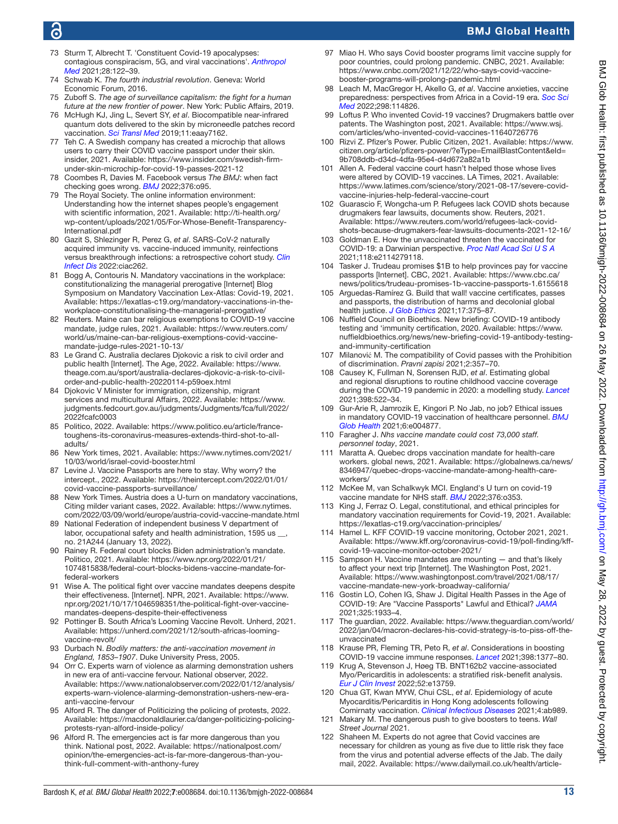## ൳

## BMJ Global Health

- <span id="page-12-1"></span>73 Sturm T, Albrecht T. 'Constituent Covid-19 apocalypses: contagious conspiracism, 5G, and viral vaccinations'. *[Anthropol](http://dx.doi.org/10.1080/13648470.2020.1833684)  [Med](http://dx.doi.org/10.1080/13648470.2020.1833684)* 2021;28:122–39.
- <span id="page-12-2"></span>74 Schwab K. *The fourth industrial revolution*. Geneva: World Economic Forum, 2016.
- 75 Zuboff S. *The age of surveillance capitalism: the fight for a human future at the new frontier of power*. New York: Public Affairs, 2019.
- <span id="page-12-3"></span>76 McHugh KJ, Jing L, Severt SY, *et al*. Biocompatible near-infrared quantum dots delivered to the skin by microneedle patches record vaccination. *[Sci Transl Med](http://dx.doi.org/10.1126/scitranslmed.aay7162)* 2019;11:eaay7162.
- <span id="page-12-4"></span>77 Teh C. A Swedish company has created a microchip that allows users to carry their COVID vaccine passport under their skin. insider, 2021. Available: [https://www.insider.com/swedish-firm](https://www.insider.com/swedish-firm-under-skin-microchip-for-covid-19-passes-2021-12)[under-skin-microchip-for-covid-19-passes-2021-12](https://www.insider.com/swedish-firm-under-skin-microchip-for-covid-19-passes-2021-12)
- <span id="page-12-5"></span>78 Coombes R, Davies M. Facebook versus *The BMJ*: when fact checking goes wrong. *[BMJ](http://dx.doi.org/10.1136/bmj.o95)* 2022;376:o95.
- <span id="page-12-6"></span>79 The Royal Society. The online information environment: Understanding how the internet shapes people's engagement with scientific information, 2021. Available: [http://ti-health.org/](http://ti-health.org/wp-content/uploads/2021/05/For-Whose-Benefit-Transparency-International.pdf) [wp-content/uploads/2021/05/For-Whose-Benefit-Transparency-](http://ti-health.org/wp-content/uploads/2021/05/For-Whose-Benefit-Transparency-International.pdf)[International.pdf](http://ti-health.org/wp-content/uploads/2021/05/For-Whose-Benefit-Transparency-International.pdf)
- <span id="page-12-7"></span>80 Gazit S, Shlezinger R, Perez G, *et al*. SARS-CoV-2 naturally acquired immunity vs. vaccine-induced immunity, reinfections versus breakthrough infections: a retrospective cohort study. *[Clin](http://dx.doi.org/10.1093/cid/ciac262)  [Infect Dis](http://dx.doi.org/10.1093/cid/ciac262)* 2022:ciac262.
- <span id="page-12-8"></span>81 Bogg A, Contouris N. Mandatory vaccinations in the workplace: constitutionalizing the managerial prerogative [Internet] Blog Symposium on Mandatory Vaccination Lex-Atlas: Covid-19, 2021. Available: [https://lexatlas-c19.org/mandatory-vaccinations-in-the](https://lexatlas-c19.org/mandatory-vaccinations-in-the-workplace-constitutionalising-the-managerial-prerogative/)[workplace-constitutionalising-the-managerial-prerogative/](https://lexatlas-c19.org/mandatory-vaccinations-in-the-workplace-constitutionalising-the-managerial-prerogative/)
- <span id="page-12-9"></span>82 Reuters. Maine can bar religious exemptions to COVID-19 vaccine mandate, judge rules, 2021. Available: [https://www.reuters.com/](https://www.reuters.com/world/us/maine-can-bar-religious-exemptions-covid-vaccine-mandate-judge-rules-2021-10-13/) [world/us/maine-can-bar-religious-exemptions-covid-vaccine](https://www.reuters.com/world/us/maine-can-bar-religious-exemptions-covid-vaccine-mandate-judge-rules-2021-10-13/)[mandate-judge-rules-2021-10-13/](https://www.reuters.com/world/us/maine-can-bar-religious-exemptions-covid-vaccine-mandate-judge-rules-2021-10-13/)
- <span id="page-12-10"></span>83 Le Grand C. Australia declares Djokovic a risk to civil order and public health [Internet]. The Age, 2022. Available: [https://www.](https://www.theage.com.au/sport/australia-declares-djokovic-a-risk-to-civil-order-and-public-health-20220114-p59oex.html) [theage.com.au/sport/australia-declares-djokovic-a-risk-to-civil](https://www.theage.com.au/sport/australia-declares-djokovic-a-risk-to-civil-order-and-public-health-20220114-p59oex.html)[order-and-public-health-20220114-p59oex.html](https://www.theage.com.au/sport/australia-declares-djokovic-a-risk-to-civil-order-and-public-health-20220114-p59oex.html)
- <span id="page-12-11"></span>84 Djokovic V Minister for immigration, citizenship, migrant services and multicultural Affairs, 2022. Available: [https://www.](https://www.judgments.fedcourt.gov.au/judgments/Judgments/fca/full/2022/2022fcafc0003) [judgments.fedcourt.gov.au/judgments/Judgments/fca/full/2022/](https://www.judgments.fedcourt.gov.au/judgments/Judgments/fca/full/2022/2022fcafc0003) [2022fcafc0003](https://www.judgments.fedcourt.gov.au/judgments/Judgments/fca/full/2022/2022fcafc0003)
- <span id="page-12-12"></span>85 Politico, 2022. Available: [https://www.politico.eu/article/france](https://www.politico.eu/article/france-toughens-its-coronavirus-measures-extends-third-shot-to-all-adults/)[toughens-its-coronavirus-measures-extends-third-shot-to-all](https://www.politico.eu/article/france-toughens-its-coronavirus-measures-extends-third-shot-to-all-adults/)[adults/](https://www.politico.eu/article/france-toughens-its-coronavirus-measures-extends-third-shot-to-all-adults/)
- 86 New York times, 2021. Available: [https://www.nytimes.com/2021/](https://www.nytimes.com/2021/10/03/world/israel-covid-booster.html) [10/03/world/israel-covid-booster.html](https://www.nytimes.com/2021/10/03/world/israel-covid-booster.html)
- <span id="page-12-13"></span>87 Levine J. Vaccine Passports are here to stay. Why worry? the intercept., 2022. Available: [https://theintercept.com/2022/01/01/](https://theintercept.com/2022/01/01/covid-vaccine-passports-surveillance/) [covid-vaccine-passports-surveillance/](https://theintercept.com/2022/01/01/covid-vaccine-passports-surveillance/)
- 88 New York Times. Austria does a U-turn on mandatory vaccinations, Citing milder variant cases, 2022. Available: [https://www.nytimes.](https://www.nytimes.com/2022/03/09/world/europe/austria-covid-vaccine-mandate.html) [com/2022/03/09/world/europe/austria-covid-vaccine-mandate.html](https://www.nytimes.com/2022/03/09/world/europe/austria-covid-vaccine-mandate.html)
- <span id="page-12-14"></span>89 National Federation of independent business V department of labor, occupational safety and health administration, 1595 us \_ no. 21A244 (January 13, 2022).
- <span id="page-12-15"></span>90 Rainey R. Federal court blocks Biden administration's mandate. Politico, 2021. Available: [https://www.npr.org/2022/01/21/](https://www.npr.org/2022/01/21/1074815838/federal-court-blocks-bidens-vaccine-mandate-for-federal-workers) [1074815838/federal-court-blocks-bidens-vaccine-mandate-for](https://www.npr.org/2022/01/21/1074815838/federal-court-blocks-bidens-vaccine-mandate-for-federal-workers)[federal-workers](https://www.npr.org/2022/01/21/1074815838/federal-court-blocks-bidens-vaccine-mandate-for-federal-workers)
- 91 Wise A. The political fight over vaccine mandates deepens despite their effectiveness. [Internet]. NPR, 2021. Available: [https://www.](https://www.npr.org/2021/10/17/1046598351/the-political-fight-over-vaccine-mandates-deepens-despite-their-effectiveness) [npr.org/2021/10/17/1046598351/the-political-fight-over-vaccine](https://www.npr.org/2021/10/17/1046598351/the-political-fight-over-vaccine-mandates-deepens-despite-their-effectiveness)[mandates-deepens-despite-their-effectiveness](https://www.npr.org/2021/10/17/1046598351/the-political-fight-over-vaccine-mandates-deepens-despite-their-effectiveness)
- <span id="page-12-16"></span>92 Pottinger B. South Africa's Looming Vaccine Revolt. Unherd, 2021. Available: [https://unherd.com/2021/12/south-africas-looming](https://unherd.com/2021/12/south-africas-looming-vaccine-revolt/)[vaccine-revolt/](https://unherd.com/2021/12/south-africas-looming-vaccine-revolt/)
- <span id="page-12-17"></span>93 Durbach N. *Bodily matters: the anti-vaccination movement in England, 1853–1907*. Duke University Press, 2005.
- <span id="page-12-18"></span>94 Orr C. Experts warn of violence as alarming demonstration ushers in new era of anti-vaccine fervour. National observer, 2022. Available: [https://www.nationalobserver.com/2022/01/12/analysis/](https://www.nationalobserver.com/2022/01/12/analysis/experts-warn-violence-alarming-demonstration-ushers-new-era-anti-vaccine-fervour) [experts-warn-violence-alarming-demonstration-ushers-new-era](https://www.nationalobserver.com/2022/01/12/analysis/experts-warn-violence-alarming-demonstration-ushers-new-era-anti-vaccine-fervour)[anti-vaccine-fervour](https://www.nationalobserver.com/2022/01/12/analysis/experts-warn-violence-alarming-demonstration-ushers-new-era-anti-vaccine-fervour)
- <span id="page-12-19"></span>95 Alford R. The danger of Politicizing the policing of protests, 2022. Available: [https://macdonaldlaurier.ca/danger-politicizing-policing](https://macdonaldlaurier.ca/danger-politicizing-policing-protests-ryan-alford-inside-policy/)[protests-ryan-alford-inside-policy/](https://macdonaldlaurier.ca/danger-politicizing-policing-protests-ryan-alford-inside-policy/)
- 96 Alford R. The emergencies act is far more dangerous than you think. National post, 2022. Available: [https://nationalpost.com/](https://nationalpost.com/opinion/the-emergencies-act-is-far-more-dangerous-than-you-think-full-comment-with-anthony-furey) [opinion/the-emergencies-act-is-far-more-dangerous-than-you](https://nationalpost.com/opinion/the-emergencies-act-is-far-more-dangerous-than-you-think-full-comment-with-anthony-furey)[think-full-comment-with-anthony-furey](https://nationalpost.com/opinion/the-emergencies-act-is-far-more-dangerous-than-you-think-full-comment-with-anthony-furey)
- <span id="page-12-20"></span>97 Miao H. Who says Covid booster programs limit vaccine supply for poor countries, could prolong pandemic. CNBC, 2021. Available: [https://www.cnbc.com/2021/12/22/who-says-covid-vaccine](https://www.cnbc.com/2021/12/22/who-says-covid-vaccine-booster-programs-will-prolong-pandemic.html)[booster-programs-will-prolong-pandemic.html](https://www.cnbc.com/2021/12/22/who-says-covid-vaccine-booster-programs-will-prolong-pandemic.html)
- <span id="page-12-21"></span>98 Leach M, MacGregor H, Akello G, *et al*. Vaccine anxieties, vaccine preparedness: perspectives from Africa in a Covid-19 era. *[Soc Sci](http://dx.doi.org/10.1016/j.socscimed.2022.114826)  [Med](http://dx.doi.org/10.1016/j.socscimed.2022.114826)* 2022;298:114826.
- <span id="page-12-22"></span>99 Loftus P. Who invented Covid-19 vaccines? Drugmakers battle over patents. The Washington post, 2021. Available: [https://www.wsj.](https://www.wsj.com/articles/who-invented-covid-vaccines-11640726776) [com/articles/who-invented-covid-vaccines-11640726776](https://www.wsj.com/articles/who-invented-covid-vaccines-11640726776)
- <span id="page-12-39"></span>100 Rizvi Z. Pfizer's Power. Public Citizen, 2021. Available: [https://www.](https://www.citizen.org/article/pfizers-power/?eType=EmailBlastContent&eId=9b708ddb-d34d-4dfa-95e4-d4d672a82a1b) [citizen.org/article/pfizers-power/?eType=EmailBlastContent&eId=](https://www.citizen.org/article/pfizers-power/?eType=EmailBlastContent&eId=9b708ddb-d34d-4dfa-95e4-d4d672a82a1b) [9b708ddb-d34d-4dfa-95e4-d4d672a82a1b](https://www.citizen.org/article/pfizers-power/?eType=EmailBlastContent&eId=9b708ddb-d34d-4dfa-95e4-d4d672a82a1b)
- <span id="page-12-23"></span>101 Allen A. Federal vaccine court hasn't helped those whose lives were altered by COVID-19 vaccines. LA Times, 2021. Available: [https://www.latimes.com/science/story/2021-08-17/severe-covid](https://www.latimes.com/science/story/2021-08-17/severe-covid-vaccine-injuries-help-federal-vaccine-court)[vaccine-injuries-help-federal-vaccine-court](https://www.latimes.com/science/story/2021-08-17/severe-covid-vaccine-injuries-help-federal-vaccine-court)
- <span id="page-12-24"></span>102 Guarascio F, Wongcha-um P. Refugees lack COVID shots because drugmakers fear lawsuits, documents show. Reuters, 2021. Available: [https://www.reuters.com/world/refugees-lack-covid](https://www.reuters.com/world/refugees-lack-covid-shots-because-drugmakers-fear-lawsuits-documents-2021-12-16/)[shots-because-drugmakers-fear-lawsuits-documents-2021-12-16/](https://www.reuters.com/world/refugees-lack-covid-shots-because-drugmakers-fear-lawsuits-documents-2021-12-16/)
- <span id="page-12-25"></span>103 Goldman E. How the unvaccinated threaten the vaccinated for COVID-19: a Darwinian perspective. *[Proc Natl Acad Sci U S A](http://dx.doi.org/10.1073/pnas.2114279118)* 2021;118:e2114279118.
- <span id="page-12-26"></span>104 Tasker J. Trudeau promises \$1B to help provinces pay for vaccine passports [Internet]. CBC, 2021. Available: [https://www.cbc.ca/](https://www.cbc.ca/news/politics/trudeau-promises-1b-vaccine-passports-1.6155618) [news/politics/trudeau-promises-1b-vaccine-passports-1.6155618](https://www.cbc.ca/news/politics/trudeau-promises-1b-vaccine-passports-1.6155618)
- <span id="page-12-27"></span>105 Arguedas-Ramírez G. Build that wall! vaccine certificates, passes and passports, the distribution of harms and decolonial global health justice. *[J Glob Ethics](http://dx.doi.org/10.1080/17449626.2021.2002391)* 2021;17:375–87.
- <span id="page-12-28"></span>106 Nuffield Council on Bioethics. New briefing: COVID-19 antibody testing and 'immunity certification, 2020. Available: [https://www.](https://www.nuffieldbioethics.org/news/new-briefing-covid-19-antibody-testing-and-immunity-certification) [nuffieldbioethics.org/news/new-briefing-covid-19-antibody-testing](https://www.nuffieldbioethics.org/news/new-briefing-covid-19-antibody-testing-and-immunity-certification)[and-immunity-certification](https://www.nuffieldbioethics.org/news/new-briefing-covid-19-antibody-testing-and-immunity-certification)
- 107 Milanović M. The compatibility of Covid passes with the Prohibition of discrimination. *Pravni zapisi* 2021;2:357–70.
- <span id="page-12-29"></span>108 Causey K, Fullman N, Sorensen RJD, *et al*. Estimating global and regional disruptions to routine childhood vaccine coverage during the COVID-19 pandemic in 2020: a modelling study. *[Lancet](http://dx.doi.org/10.1016/S0140-6736(21)01337-4)* 2021;398:522–34.
- 109 Gur-Arie R, Jamrozik E, Kingori P. No Jab, no job? Ethical issues in mandatory COVID-19 vaccination of healthcare personnel. *[BMJ](http://dx.doi.org/10.1136/bmjgh-2020-004877)  [Glob Health](http://dx.doi.org/10.1136/bmjgh-2020-004877)* 2021;6:e004877.
- <span id="page-12-30"></span>110 Faragher J. *Nhs vaccine mandate could cost 73,000 staff. personnel today*, 2021.
- <span id="page-12-31"></span>111 Maratta A. Quebec drops vaccination mandate for health-care workers. global news, 2021. Available: [https://globalnews.ca/news/](https://globalnews.ca/news/8346947/quebec-drops-vaccine-mandate-among-health-care-workers/) [8346947/quebec-drops-vaccine-mandate-among-health-care](https://globalnews.ca/news/8346947/quebec-drops-vaccine-mandate-among-health-care-workers/)[workers/](https://globalnews.ca/news/8346947/quebec-drops-vaccine-mandate-among-health-care-workers/)
- <span id="page-12-32"></span>112 McKee M, van Schalkwyk MCI. England's U turn on covid-19 vaccine mandate for NHS staff. *[BMJ](http://dx.doi.org/10.1136/bmj.o353)* 2022;376:o353.
- <span id="page-12-33"></span>113 King J, Ferraz O. Legal, constitutional, and ethical principles for mandatory vaccination requirements for Covid-19, 2021. Available: <https://lexatlas-c19.org/vaccination-principles/>
- <span id="page-12-34"></span>114 Hamel L. KFF COVID-19 vaccine monitoring, October 2021, 2021. Available: [https://www.kff.org/coronavirus-covid-19/poll-finding/kff](https://www.kff.org/coronavirus-covid-19/poll-finding/kff-covid-19-vaccine-monitor-october-2021/)[covid-19-vaccine-monitor-october-2021/](https://www.kff.org/coronavirus-covid-19/poll-finding/kff-covid-19-vaccine-monitor-october-2021/)
- <span id="page-12-35"></span>115 Sampson H. Vaccine mandates are mounting — and that's likely to affect your next trip [Internet]. The Washington Post, 2021. Available: [https://www.washingtonpost.com/travel/2021/08/17/](https://www.washingtonpost.com/travel/2021/08/17/vaccine-mandate-new-york-broadway-california/) [vaccine-mandate-new-york-broadway-california/](https://www.washingtonpost.com/travel/2021/08/17/vaccine-mandate-new-york-broadway-california/)
- <span id="page-12-40"></span>116 Gostin LO, Cohen IG, Shaw J. Digital Health Passes in the Age of COVID-19: Are "Vaccine Passports" Lawful and Ethical? *[JAMA](http://dx.doi.org/10.1001/jama.2021.5283)* 2021;325:1933–4.
- <span id="page-12-0"></span>117 The guardian, 2022. Available: [https://www.theguardian.com/world/](https://www.theguardian.com/world/2022/jan/04/macron-declares-his-covid-strategy-is-to-piss-off-the-unvaccinated) [2022/jan/04/macron-declares-his-covid-strategy-is-to-piss-off-the](https://www.theguardian.com/world/2022/jan/04/macron-declares-his-covid-strategy-is-to-piss-off-the-unvaccinated)[unvaccinated](https://www.theguardian.com/world/2022/jan/04/macron-declares-his-covid-strategy-is-to-piss-off-the-unvaccinated)
- <span id="page-12-38"></span>118 Krause PR, Fleming TR, Peto R, *et al*. Considerations in boosting COVID-19 vaccine immune responses. *[Lancet](http://dx.doi.org/10.1016/S0140-6736(21)02046-8)* 2021;398:1377–80.
- <span id="page-12-36"></span>119 Krug A, Stevenson J, Høeg TB. BNT162b2 vaccine-associated Myo/Pericarditis in adolescents: a stratified risk-benefit analysis. *[Eur J Clin Invest](http://dx.doi.org/10.1111/eci.13759)* 2022;52:e13759.
- 120 Chua GT, Kwan MYW, Chui CSL, *et al*. Epidemiology of acute Myocarditis/Pericarditis in Hong Kong adolescents following Comirnaty vaccination. *[Clinical Infectious Diseases](http://dx.doi.org/10.1093/cid/ciab989)* 2021;4:ab989.
- 121 Makary M. The dangerous push to give boosters to teens. *Wall Street Journal* 2021.
- <span id="page-12-37"></span>122 Shaheen M. Experts do not agree that Covid vaccines are necessary for children as young as five due to little risk they face from the virus and potential adverse effects of the Jab. The daily mail, 2022. Available: [https://www.dailymail.co.uk/health/article-](https://www.dailymail.co.uk/health/article-10452707/Not-experts-agree-Covid-vaccines-necessary-children-young-five.html)